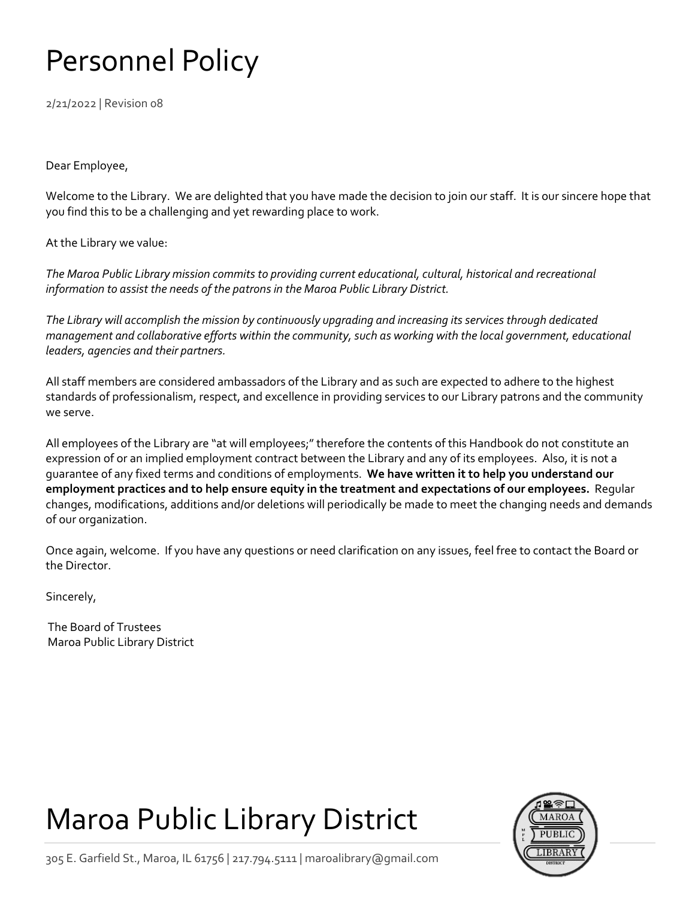# Personnel Policy

2/21/2022 | Revision 08

Dear Employee,

Welcome to the Library. We are delighted that you have made the decision to join our staff. It is our sincere hope that you find this to be a challenging and yet rewarding place to work.

At the Library we value:

*The Maroa Public Library mission commits to providing current educational, cultural, historical and recreational information to assist the needs of the patrons in the Maroa Public Library District.*

*The Library will accomplish the mission by continuously upgrading and increasing its services through dedicated management and collaborative efforts within the community, such as working with the local government, educational leaders, agencies and their partners.*

All staff members are considered ambassadors of the Library and as such are expected to adhere to the highest standards of professionalism, respect, and excellence in providing services to our Library patrons and the community we serve.

All employees of the Library are "at will employees;" therefore the contents of this Handbook do not constitute an expression of or an implied employment contract between the Library and any of its employees. Also, it is not a guarantee of any fixed terms and conditions of employments. **We have written it to help you understand our employment practices and to help ensure equity in the treatment and expectations of our employees.** Regular changes, modifications, additions and/or deletions will periodically be made to meet the changing needs and demands of our organization.

Once again, welcome. If you have any questions or need clarification on any issues, feel free to contact the Board or the Director.

Sincerely,

The Board of Trustees Maroa Public Library District

# Maroa Public Library District



305 E. Garfield St., Maroa, IL 61756 | 217.794.5111 | maroalibrary@gmail.com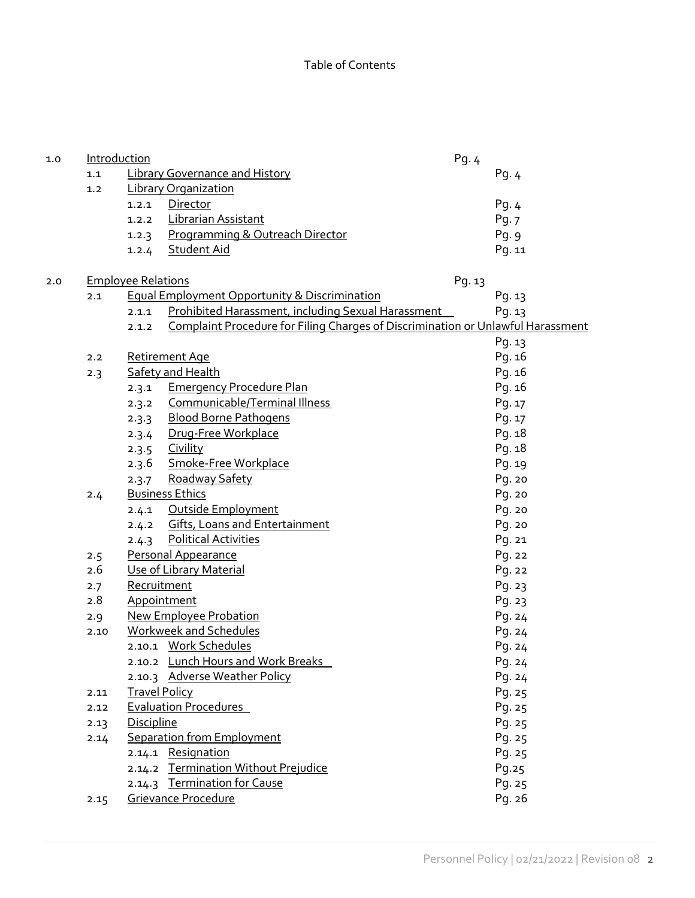# Table of Contents

| 1.0 | Introduction |                           |                                                                                 | Pg. 4  |        |
|-----|--------------|---------------------------|---------------------------------------------------------------------------------|--------|--------|
|     | $1.1\,$      |                           | <b>Library Governance and History</b>                                           |        | Pg. 4  |
|     | 1.2          |                           | <b>Library Organization</b>                                                     |        |        |
|     |              | 1.2.1                     | <b>Director</b>                                                                 |        | Pg. 4  |
|     |              | 1.2.2                     | Librarian Assistant                                                             |        | Pg. 7  |
|     |              | 1.2.3                     | Programming & Outreach Director                                                 |        | Pg. 9  |
|     |              | 1.2.4                     | <b>Student Aid</b>                                                              |        | Pg. 11 |
| 2.0 |              | <b>Employee Relations</b> |                                                                                 | Pg. 13 |        |
|     | 2.1          |                           | <b>Equal Employment Opportunity &amp; Discrimination</b>                        |        | Pg. 13 |
|     |              | 2.1.1                     | Prohibited Harassment, including Sexual Harassment                              |        | Pg. 13 |
|     |              | 2.1.2                     | Complaint Procedure for Filing Charges of Discrimination or Unlawful Harassment |        |        |
|     |              |                           |                                                                                 |        | Pg. 13 |
|     | 2.2          |                           | <b>Retirement Age</b>                                                           |        | Pg. 16 |
|     | 2.3          |                           | Safety and Health                                                               |        | Pg. 16 |
|     |              | 2.3.1                     | <b>Emergency Procedure Plan</b>                                                 |        | Pg. 16 |
|     |              | 2.3.2                     | Communicable/Terminal Illness                                                   |        | Pg. 17 |
|     |              | 2.3.3                     | <b>Blood Borne Pathogens</b>                                                    |        | Pg. 17 |
|     |              | 2.3.4                     | Drug-Free Workplace                                                             |        | Pg. 18 |
|     |              | 2.3.5                     | <u>Civility</u>                                                                 |        | Pg. 18 |
|     |              | 2.3.6                     | Smoke-Free Workplace                                                            |        | Pg. 19 |
|     |              | 2.3.7                     | Roadway Safety                                                                  |        | Pg. 20 |
|     | 2.4          |                           | <b>Business Ethics</b>                                                          |        | Pg. 20 |
|     |              | 2.4.1                     | Outside Employment                                                              |        | Pg. 20 |
|     |              | 2.4.2                     | <b>Gifts, Loans and Entertainment</b>                                           |        | Pg. 20 |
|     |              | 2.4.3                     | <b>Political Activities</b>                                                     |        | Pg. 21 |
|     | 2.5          | Personal Appearance       |                                                                                 |        | Pg. 22 |
|     | 2.6          | Use of Library Material   |                                                                                 |        | Pg. 22 |
|     | 2.7          | Recruitment               |                                                                                 |        | Pg. 23 |
|     | 2.8          | Appointment               |                                                                                 |        | Pg. 23 |
|     | 2.9          |                           | <b>New Employee Probation</b>                                                   |        | Pg. 24 |
|     | 2.10         |                           | <b>Workweek and Schedules</b>                                                   |        | Pg. 24 |
|     |              |                           | 2.10.1 Work Schedules                                                           |        | Pg. 24 |
|     |              |                           | 2.10.2 Lunch Hours and Work Breaks                                              |        | Pg. 24 |
|     |              |                           | 2.10.3 Adverse Weather Policy                                                   |        | Pg. 24 |
|     | 2.11         | <b>Travel Policy</b>      |                                                                                 |        | Pg. 25 |
|     | 2.12         |                           | <b>Evaluation Procedures</b>                                                    |        | Pg. 25 |
|     | 2.13         | <b>Discipline</b>         |                                                                                 |        | Pg. 25 |
|     | 2.14         |                           | <b>Separation from Employment</b>                                               |        | Pg. 25 |
|     |              |                           | 2.14.1 Resignation                                                              |        | Pg. 25 |
|     |              |                           | 2.14.2 Termination Without Prejudice                                            |        | Pg.25  |
|     |              |                           | 2.14.3 Termination for Cause                                                    |        | Pg. 25 |
|     | 2.15         |                           | Grievance Procedure                                                             |        | Pg. 26 |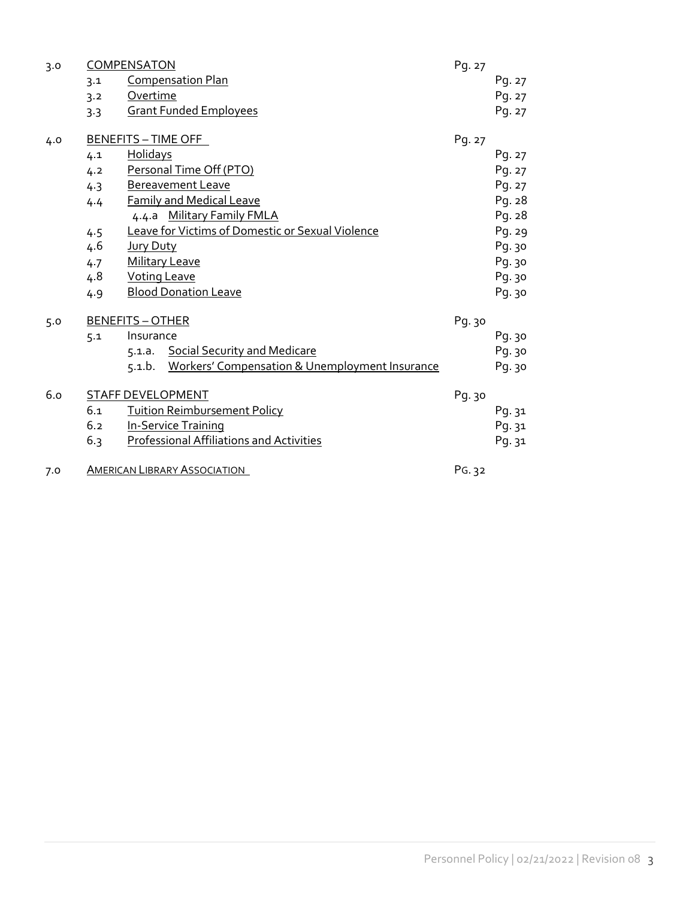| 3.0 | <b>COMPENSATON</b>                         |                                                          |        |        |
|-----|--------------------------------------------|----------------------------------------------------------|--------|--------|
|     | 3.1                                        | <b>Compensation Plan</b>                                 |        | Pg. 27 |
|     | 3.2                                        | Overtime                                                 |        | Pg. 27 |
|     | 3.3                                        | <b>Grant Funded Employees</b>                            |        | Pg. 27 |
| 4.0 | <b>BENEFITS - TIME OFF</b>                 |                                                          |        |        |
|     | 4.1                                        | Holidays                                                 |        |        |
|     | 4.2                                        | Personal Time Off (PTO)                                  |        | Pg. 27 |
|     | 4.3                                        | <b>Bereavement Leave</b>                                 |        | Pg. 27 |
|     | 4.4                                        | <b>Family and Medical Leave</b>                          |        | Pg. 28 |
|     |                                            | 4.4.a Military Family FMLA                               |        | Pg. 28 |
|     | 4.5                                        | Leave for Victims of Domestic or Sexual Violence         |        | Pg. 29 |
|     | 4.6                                        | <b>Jury Duty</b>                                         |        | Pg. 30 |
|     | 4.7                                        | <b>Military Leave</b>                                    |        | Pg. 30 |
|     | 4.8                                        | <b>Voting Leave</b>                                      |        | Pg. 30 |
|     | 4.9                                        | <b>Blood Donation Leave</b>                              |        | Pg. 30 |
| 5.0 | <b>BENEFITS-OTHER</b>                      |                                                          |        |        |
|     | 5.1                                        | Insurance                                                |        | Pg. 30 |
|     |                                            | <b>Social Security and Medicare</b><br>5.1.a.            |        | Pg. 30 |
|     |                                            | Workers' Compensation & Unemployment Insurance<br>5.1.b. |        | Pg. 30 |
| 6.0 | <b>STAFF DEVELOPMENT</b>                   |                                                          |        |        |
|     | 6.1<br><b>Tuition Reimbursement Policy</b> |                                                          |        | Pg. 31 |
|     | 6.2                                        | <b>In-Service Training</b>                               |        |        |
|     | 6.3                                        | <b>Professional Affiliations and Activities</b>          |        | Pg. 31 |
| 7.0 |                                            | <b>AMERICAN LIBRARY ASSOCIATION</b>                      | PG. 32 |        |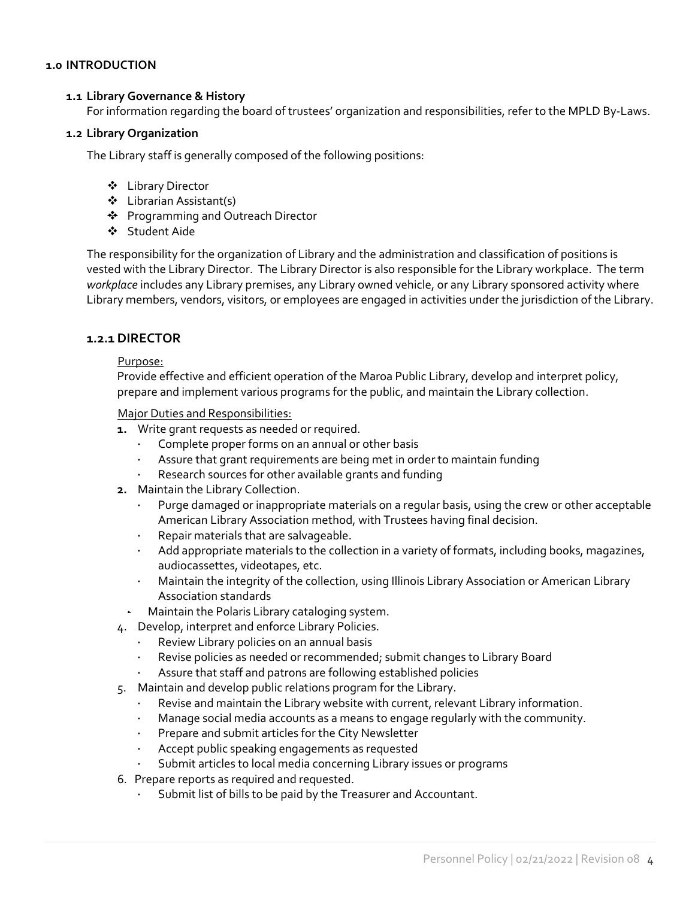#### <span id="page-3-0"></span>**1.0 INTRODUCTION**

#### <span id="page-3-1"></span>**1.1 Library Governance & History**

For information regarding the board of trustees' organization and responsibilities, refer to the MPLD By-Laws.

#### <span id="page-3-2"></span>**1.2 Library Organization**

The Library staff is generally composed of the following positions:

- Library Director
- ❖ Librarian Assistant(s)
- **❖** Programming and Outreach Director
- Student Aide

The responsibility for the organization of Library and the administration and classification of positions is vested with the Library Director. The Library Director is also responsible for the Library workplace. The term *workplace* includes any Library premises, any Library owned vehicle, or any Library sponsored activity where Library members, vendors, visitors, or employees are engaged in activities under the jurisdiction of the Library.

#### <span id="page-3-3"></span>**1.2.1 DIRECTOR**

#### Purpose:

Provide effective and efficient operation of the Maroa Public Library, develop and interpret policy, prepare and implement various programs for the public, and maintain the Library collection.

#### Major Duties and Responsibilities:

- **1.** Write grant requests as needed or required.
	- Complete proper forms on an annual or other basis
	- Assure that grant requirements are being met in order to maintain funding
	- Research sources for other available grants and funding
- **2.** Maintain the Library Collection.
	- · Purge damaged or inappropriate materials on a regular basis, using the crew or other acceptable American Library Association method, with Trustees having final decision.
	- · Repair materials that are salvageable.
	- · Add appropriate materials to the collection in a variety of formats, including books, magazines, audiocassettes, videotapes, etc.
	- · Maintain the integrity of the collection, using Illinois Library Association or American Library Association standards
	- · Maintain the Polaris Library cataloging system.
- 4. Develop, interpret and enforce Library Policies.
	- Review Library policies on an annual basis
	- Revise policies as needed or recommended; submit changes to Library Board
	- Assure that staff and patrons are following established policies
- 5. Maintain and develop public relations program for the Library.
	- Revise and maintain the Library website with current, relevant Library information.
	- · Manage social media accounts as a means to engage regularly with the community.
	- Prepare and submit articles for the City Newsletter
	- Accept public speaking engagements as requested
	- Submit articles to local media concerning Library issues or programs
- 6. Prepare reports as required and requested.
	- Submit list of bills to be paid by the Treasurer and Accountant.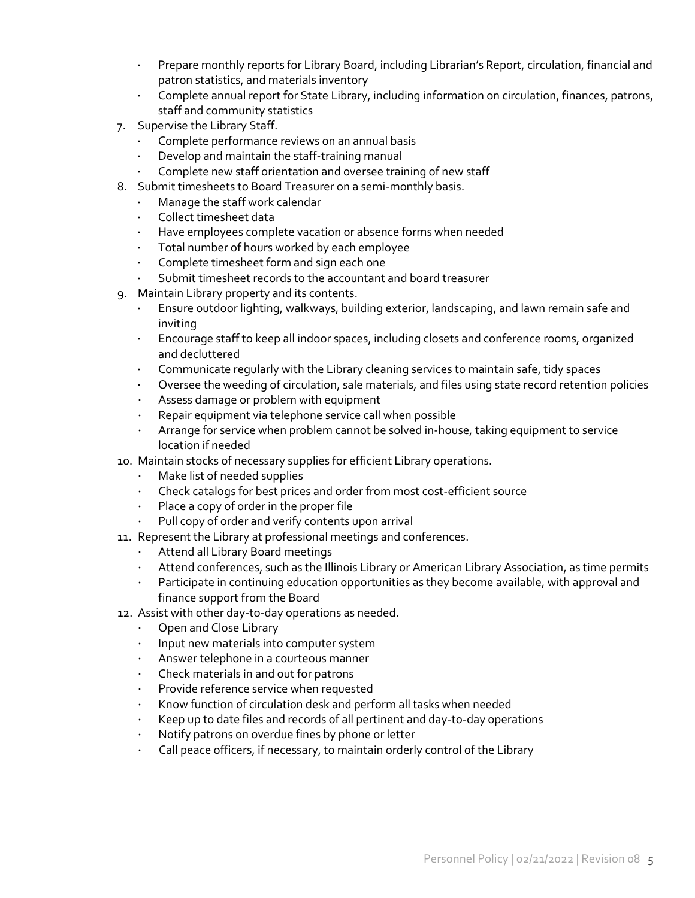- · Prepare monthly reports for Library Board, including Librarian's Report, circulation, financial and patron statistics, and materials inventory
- · Complete annual report for State Library, including information on circulation, finances, patrons, staff and community statistics
- 7. Supervise the Library Staff.
	- Complete performance reviews on an annual basis
	- Develop and maintain the staff-training manual
	- Complete new staff orientation and oversee training of new staff
- 8. Submit timesheets to Board Treasurer on a semi-monthly basis.
	- Manage the staff work calendar
	- · Collect timesheet data
	- · Have employees complete vacation or absence forms when needed
	- · Total number of hours worked by each employee
	- Complete timesheet form and sign each one
	- Submit timesheet records to the accountant and board treasurer
- 9. Maintain Library property and its contents.
	- · Ensure outdoor lighting, walkways, building exterior, landscaping, and lawn remain safe and inviting
	- · Encourage staff to keep all indoor spaces, including closets and conference rooms, organized and decluttered
	- · Communicate regularly with the Library cleaning services to maintain safe, tidy spaces
	- · Oversee the weeding of circulation, sale materials, and files using state record retention policies
	- Assess damage or problem with equipment
	- · Repair equipment via telephone service call when possible
	- Arrange for service when problem cannot be solved in-house, taking equipment to service location if needed
- 10. Maintain stocks of necessary supplies for efficient Library operations.
	- · Make list of needed supplies
	- Check catalogs for best prices and order from most cost-efficient source
	- Place a copy of order in the proper file
	- Pull copy of order and verify contents upon arrival
- 11. Represent the Library at professional meetings and conferences.
	- Attend all Library Board meetings
	- Attend conferences, such as the Illinois Library or American Library Association, as time permits
	- Participate in continuing education opportunities as they become available, with approval and finance support from the Board
- 12. Assist with other day-to-day operations as needed.
	- Open and Close Library
	- · Input new materials into computer system
	- · Answer telephone in a courteous manner
	- · Check materials in and out for patrons
	- Provide reference service when requested
	- Know function of circulation desk and perform all tasks when needed
	- Keep up to date files and records of all pertinent and day-to-day operations
	- Notify patrons on overdue fines by phone or letter
	- Call peace officers, if necessary, to maintain orderly control of the Library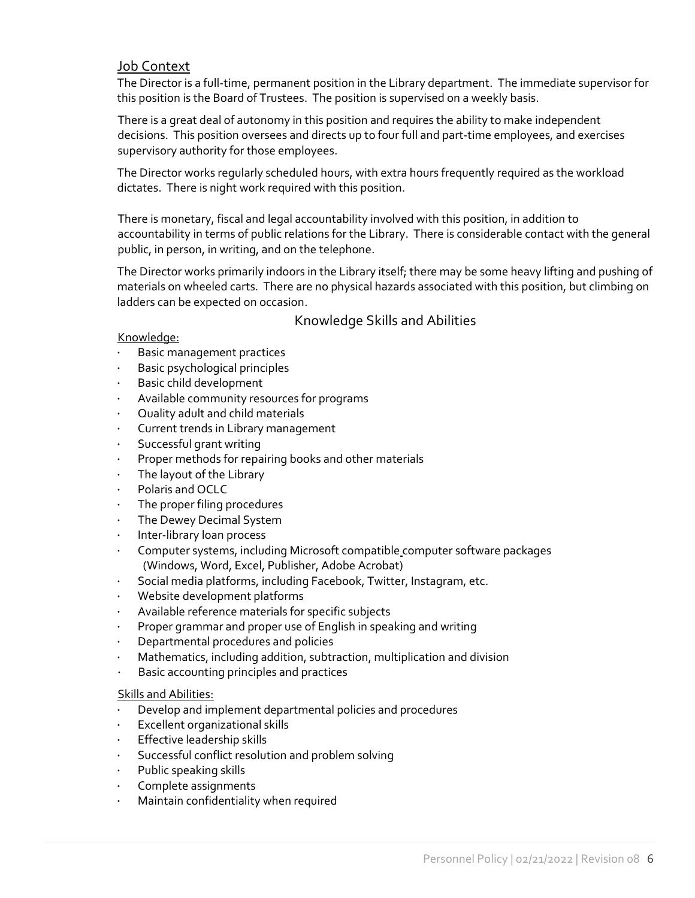# Job Context

The Director is a full-time, permanent position in the Library department. The immediate supervisor for this position is the Board of Trustees. The position is supervised on a weekly basis.

There is a great deal of autonomy in this position and requires the ability to make independent decisions. This position oversees and directs up to four full and part-time employees, and exercises supervisory authority for those employees.

The Director works regularly scheduled hours, with extra hours frequently required as the workload dictates. There is night work required with this position.

There is monetary, fiscal and legal accountability involved with this position, in addition to accountability in terms of public relations for the Library. There is considerable contact with the general public, in person, in writing, and on the telephone.

The Director works primarily indoors in the Library itself; there may be some heavy lifting and pushing of materials on wheeled carts. There are no physical hazards associated with this position, but climbing on ladders can be expected on occasion.

Knowledge Skills and Abilities

## Knowledge:

- Basic management practices
- Basic psychological principles
- Basic child development
- Available community resources for programs
- · Quality adult and child materials
- Current trends in Library management
- Successful grant writing
- Proper methods for repairing books and other materials
- The layout of the Library
- Polaris and OCLC
- The proper filing procedures
- The Dewey Decimal System
- Inter-library loan process
- · Computer systems, including Microsoft compatible computer software packages (Windows, Word, Excel, Publisher, Adobe Acrobat)
- · Social media platforms, including Facebook, Twitter, Instagram, etc.
- Website development platforms
- Available reference materials for specific subjects
- · Proper grammar and proper use of English in speaking and writing
- · Departmental procedures and policies
- Mathematics, including addition, subtraction, multiplication and division
- Basic accounting principles and practices

#### Skills and Abilities:

- · Develop and implement departmental policies and procedures
- Excellent organizational skills
- Effective leadership skills
- Successful conflict resolution and problem solving
- Public speaking skills
- · Complete assignments
- · Maintain confidentiality when required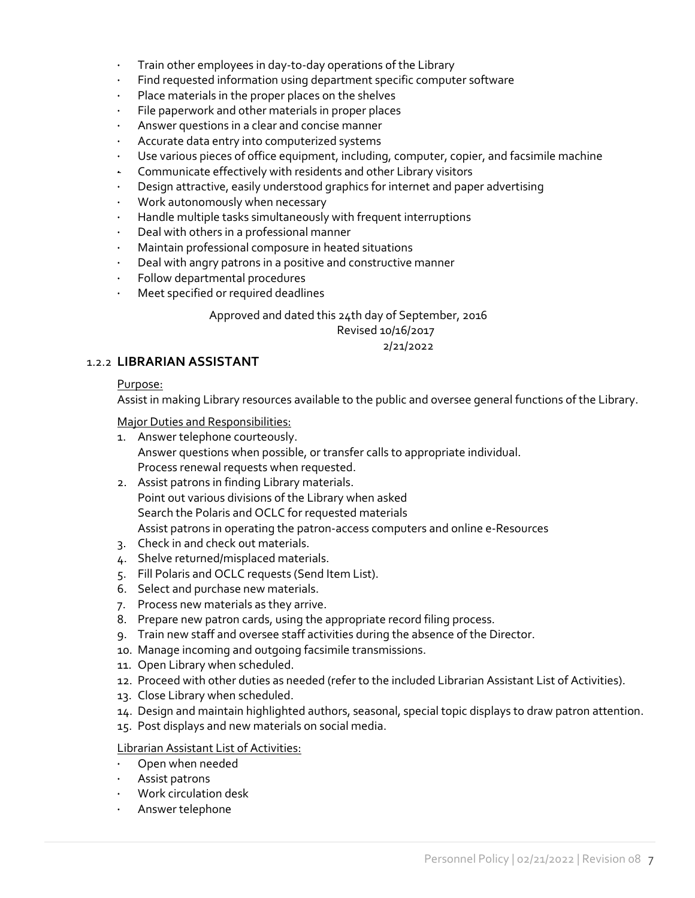- Train other employees in day-to-day operations of the Library
- Find requested information using department specific computer software
- Place materials in the proper places on the shelves
- File paperwork and other materials in proper places
- Answer questions in a clear and concise manner
- Accurate data entry into computerized systems
- Use various pieces of office equipment, including, computer, copier, and facsimile machine
- · Communicate effectively with residents and other Library visitors
- Design attractive, easily understood graphics for internet and paper advertising
- Work autonomously when necessary
- Handle multiple tasks simultaneously with frequent interruptions
- Deal with others in a professional manner
- Maintain professional composure in heated situations
- Deal with angry patrons in a positive and constructive manner
- Follow departmental procedures
- Meet specified or required deadlines

#### Approved and dated this 24th day of September, 2016

#### Revised 10/16/2017

#### 2/21/2022

#### 1.2.2 **LIBRARIAN ASSISTANT**

#### Purpose:

Assist in making Library resources available to the public and oversee general functions of the Library.

#### Major Duties and Responsibilities:

- 1. Answer telephone courteously. Answer questions when possible, or transfer calls to appropriate individual. Process renewal requests when requested.
- 2. Assist patrons in finding Library materials. Point out various divisions of the Library when asked Search the Polaris and OCLC for requested materials Assist patrons in operating the patron-access computers and online e-Resources
- 3. Check in and check out materials.
- 4. Shelve returned/misplaced materials.
- 5. Fill Polaris and OCLC requests (Send Item List).
- 6. Select and purchase new materials.
- 7. Process new materials as they arrive.
- 8. Prepare new patron cards, using the appropriate record filing process.
- 9. Train new staff and oversee staff activities during the absence of the Director.
- 10. Manage incoming and outgoing facsimile transmissions.
- 11. Open Library when scheduled.
- 12. Proceed with other duties as needed (refer to the included Librarian Assistant List of Activities).
- 13. Close Library when scheduled.
- 14. Design and maintain highlighted authors, seasonal, special topic displays to draw patron attention.
- 15. Post displays and new materials on social media.

#### Librarian Assistant List of Activities:

- · Open when needed
- Assist patrons
- · Work circulation desk
- Answer telephone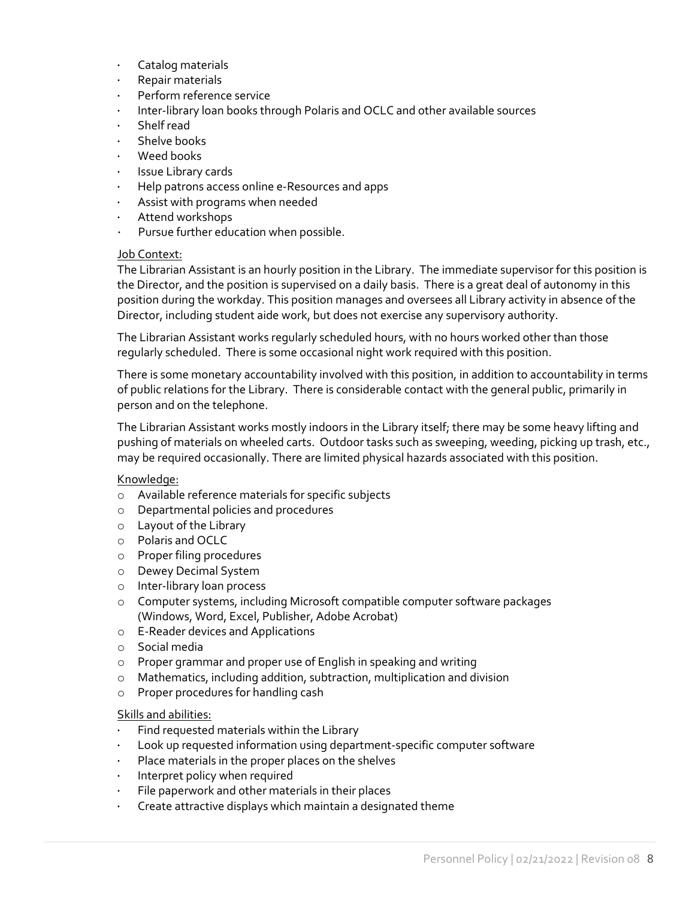- Catalog materials
- Repair materials
- Perform reference service
- Inter-library loan books through Polaris and OCLC and other available sources
- Shelf read
- Shelve books
- Weed books
- · Issue Library cards
- Help patrons access online e-Resources and apps
- Assist with programs when needed
- Attend workshops
- Pursue further education when possible.

#### Job Context:

The Librarian Assistant is an hourly position in the Library. The immediate supervisor for this position is the Director, and the position is supervised on a daily basis. There is a great deal of autonomy in this position during the workday. This position manages and oversees all Library activity in absence of the Director, including student aide work, but does not exercise any supervisory authority.

The Librarian Assistant works regularly scheduled hours, with no hours worked other than those regularly scheduled. There is some occasional night work required with this position.

There is some monetary accountability involved with this position, in addition to accountability in terms of public relations for the Library. There is considerable contact with the general public, primarily in person and on the telephone.

The Librarian Assistant works mostly indoors in the Library itself; there may be some heavy lifting and pushing of materials on wheeled carts. Outdoor tasks such as sweeping, weeding, picking up trash, etc., may be required occasionally. There are limited physical hazards associated with this position.

#### Knowledge:

- o Available reference materials for specific subjects
- o Departmental policies and procedures
- o Layout of the Library
- o Polaris and OCLC
- o Proper filing procedures
- o Dewey Decimal System
- o Inter-library loan process
- o Computer systems, including Microsoft compatible computer software packages (Windows, Word, Excel, Publisher, Adobe Acrobat)
- o E-Reader devices and Applications
- o Social media
- o Proper grammar and proper use of English in speaking and writing
- o Mathematics, including addition, subtraction, multiplication and division
- o Proper procedures for handling cash

#### Skills and abilities:

- Find requested materials within the Library
- Look up requested information using department-specific computer software
- Place materials in the proper places on the shelves
- Interpret policy when required
- File paperwork and other materials in their places
- Create attractive displays which maintain a designated theme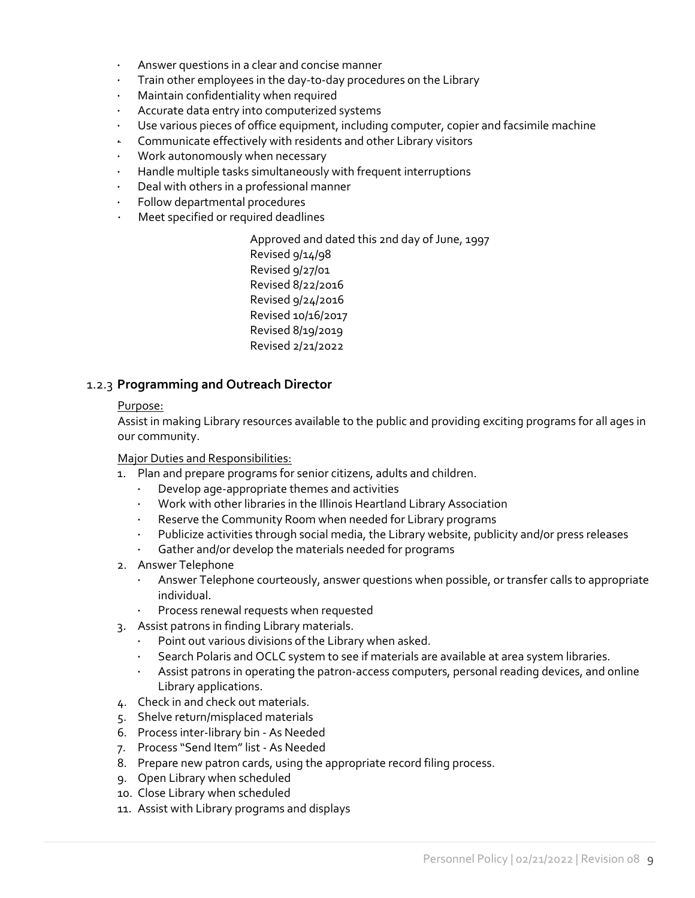- Answer questions in a clear and concise manner
- Train other employees in the day-to-day procedures on the Library
- Maintain confidentiality when required
- Accurate data entry into computerized systems
- Use various pieces of office equipment, including computer, copier and facsimile machine
- · Communicate effectively with residents and other Library visitors
- Work autonomously when necessary
- · Handle multiple tasks simultaneously with frequent interruptions
- Deal with others in a professional manner
- Follow departmental procedures
- Meet specified or required deadlines

Approved and dated this 2nd day of June, 1997 Revised 9/14/98 Revised 9/27/01 Revised 8/22/2016 Revised 9/24/2016 Revised 10/16/2017 Revised 8/19/2019 Revised 2/21/2022

#### <span id="page-8-0"></span>1.2.3 **Programming and Outreach Director**

#### Purpose:

Assist in making Library resources available to the public and providing exciting programs for all ages in our community.

#### Major Duties and Responsibilities:

- 1. Plan and prepare programs for senior citizens, adults and children.
	- · Develop age-appropriate themes and activities
	- · Work with other libraries in the Illinois Heartland Library Association
	- Reserve the Community Room when needed for Library programs
	- Publicize activities through social media, the Library website, publicity and/or press releases
	- Gather and/or develop the materials needed for programs
- 2. Answer Telephone
	- · Answer Telephone courteously, answer questions when possible, or transfer calls to appropriate individual.
	- Process renewal requests when requested
- 3. Assist patrons in finding Library materials.
	- Point out various divisions of the Library when asked.
	- · Search Polaris and OCLC system to see if materials are available at area system libraries.
	- Assist patrons in operating the patron-access computers, personal reading devices, and online Library applications.
- 4. Check in and check out materials.
- 5. Shelve return/misplaced materials
- 6. Process inter-library bin As Needed
- 7. Process "Send Item" list As Needed
- 8. Prepare new patron cards, using the appropriate record filing process.
- 9. Open Library when scheduled
- 10. Close Library when scheduled
- 11. Assist with Library programs and displays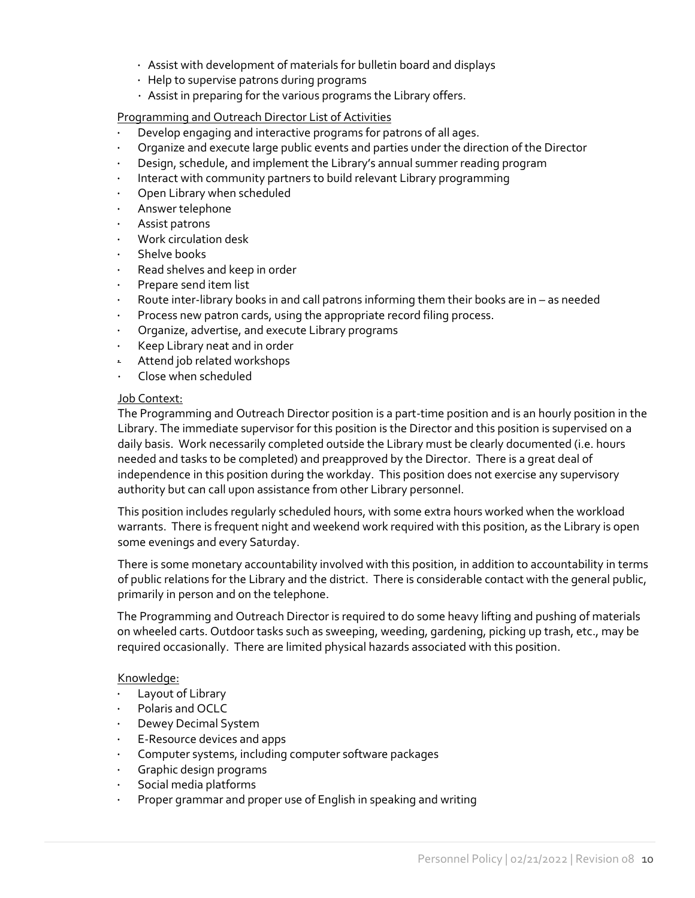- · Assist with development of materials for bulletin board and displays
- · Help to supervise patrons during programs
- · Assist in preparing for the various programs the Library offers.

Programming and Outreach Director List of Activities

- · Develop engaging and interactive programs for patrons of all ages.
- · Organize and execute large public events and parties under the direction of the Director
- · Design, schedule, and implement the Library's annual summer reading program
- Interact with community partners to build relevant Library programming
- Open Library when scheduled
- Answer telephone
- Assist patrons
- · Work circulation desk
- Shelve books
- Read shelves and keep in order
- Prepare send item list
- Route inter-library books in and call patrons informing them their books are in as needed
- Process new patron cards, using the appropriate record filing process.
- Organize, advertise, and execute Library programs
- Keep Library neat and in order<br>• Attend inh related workshops
- Attend job related workshops
- · Close when scheduled

#### Job Context:

The Programming and Outreach Director position is a part-time position and is an hourly position in the Library. The immediate supervisor for this position is the Director and this position is supervised on a daily basis. Work necessarily completed outside the Library must be clearly documented (i.e. hours needed and tasks to be completed) and preapproved by the Director. There is a great deal of independence in this position during the workday. This position does not exercise any supervisory authority but can call upon assistance from other Library personnel.

This position includes regularly scheduled hours, with some extra hours worked when the workload warrants. There is frequent night and weekend work required with this position, as the Library is open some evenings and every Saturday.

There is some monetary accountability involved with this position, in addition to accountability in terms of public relations for the Library and the district. There is considerable contact with the general public, primarily in person and on the telephone.

The Programming and Outreach Director is required to do some heavy lifting and pushing of materials on wheeled carts. Outdoor tasks such as sweeping, weeding, gardening, picking up trash, etc., may be required occasionally. There are limited physical hazards associated with this position.

#### Knowledge:

- · Layout of Library
- Polaris and OCLC
- Dewey Decimal System
- · E-Resource devices and apps
- · Computer systems, including computer software packages
- Graphic design programs
- Social media platforms
- Proper grammar and proper use of English in speaking and writing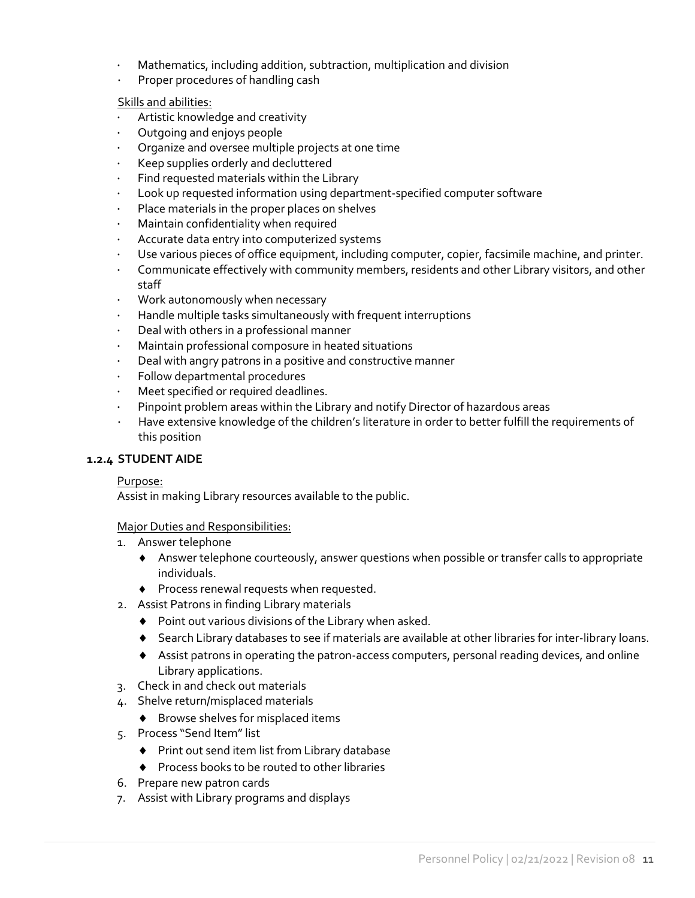- Mathematics, including addition, subtraction, multiplication and division
- Proper procedures of handling cash

#### Skills and abilities:

- Artistic knowledge and creativity
- Outgoing and enjoys people
- Organize and oversee multiple projects at one time
- Keep supplies orderly and decluttered
- Find requested materials within the Library
- Look up requested information using department-specified computer software
- Place materials in the proper places on shelves
- Maintain confidentiality when required
- Accurate data entry into computerized systems
- Use various pieces of office equipment, including computer, copier, facsimile machine, and printer.
- Communicate effectively with community members, residents and other Library visitors, and other staff
- Work autonomously when necessary
- · Handle multiple tasks simultaneously with frequent interruptions
- Deal with others in a professional manner
- · Maintain professional composure in heated situations
- Deal with angry patrons in a positive and constructive manner
- Follow departmental procedures
- Meet specified or required deadlines.
- Pinpoint problem areas within the Library and notify Director of hazardous areas
- Have extensive knowledge of the children's literature in order to better fulfill the requirements of this position

#### **1.2.4 STUDENT AIDE**

#### <span id="page-10-0"></span>Purpose:

Assist in making Library resources available to the public.

#### Major Duties and Responsibilities:

- 1. Answer telephone
	- ♦ Answer telephone courteously, answer questions when possible or transfer calls to appropriate individuals.
	- ♦ Process renewal requests when requested.
- 2. Assist Patrons in finding Library materials
	- ♦ Point out various divisions of the Library when asked.
	- ♦ Search Library databases to see if materials are available at other libraries for inter-library loans.
	- ♦ Assist patrons in operating the patron-access computers, personal reading devices, and online Library applications.
- 3. Check in and check out materials
- 4. Shelve return/misplaced materials
	- ♦ Browse shelves for misplaced items
- 5. Process "Send Item" list
	- ♦ Print out send item list from Library database
	- ♦ Process books to be routed to other libraries
- 6. Prepare new patron cards
- 7. Assist with Library programs and displays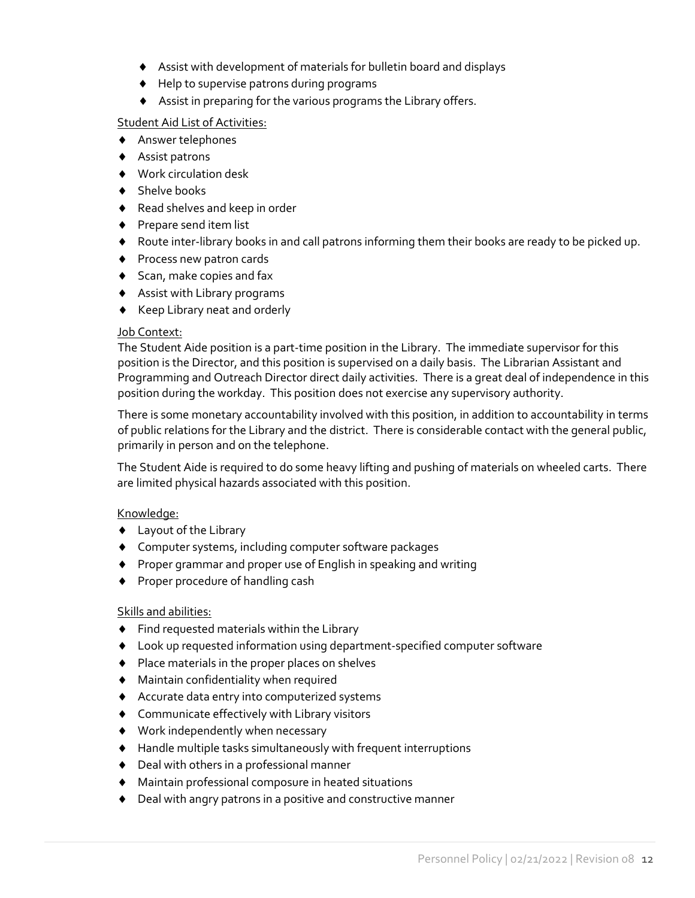- ♦ Assist with development of materials for bulletin board and displays
- ♦ Help to supervise patrons during programs
- ♦ Assist in preparing for the various programs the Library offers.

## Student Aid List of Activities:

- ♦ Answer telephones
- ♦ Assist patrons
- ♦ Work circulation desk
- ♦ Shelve books
- ♦ Read shelves and keep in order
- ♦ Prepare send item list
- ♦ Route inter-library books in and call patrons informing them their books are ready to be picked up.
- ♦ Process new patron cards
- ♦ Scan, make copies and fax
- ♦ Assist with Library programs
- ♦ Keep Library neat and orderly

#### Job Context:

The Student Aide position is a part-time position in the Library. The immediate supervisor for this position is the Director, and this position is supervised on a daily basis. The Librarian Assistant and Programming and Outreach Director direct daily activities. There is a great deal of independence in this position during the workday. This position does not exercise any supervisory authority.

There is some monetary accountability involved with this position, in addition to accountability in terms of public relations for the Library and the district. There is considerable contact with the general public, primarily in person and on the telephone.

The Student Aide is required to do some heavy lifting and pushing of materials on wheeled carts. There are limited physical hazards associated with this position.

## Knowledge:

- ♦ Layout of the Library
- ♦ Computer systems, including computer software packages
- ♦ Proper grammar and proper use of English in speaking and writing
- ♦ Proper procedure of handling cash

## Skills and abilities:

- ♦ Find requested materials within the Library
- ♦ Look up requested information using department-specified computer software
- ♦ Place materials in the proper places on shelves
- ♦ Maintain confidentiality when required
- ♦ Accurate data entry into computerized systems
- ♦ Communicate effectively with Library visitors
- ♦ Work independently when necessary
- ♦ Handle multiple tasks simultaneously with frequent interruptions
- ♦ Deal with others in a professional manner
- ♦ Maintain professional composure in heated situations
- ♦ Deal with angry patrons in a positive and constructive manner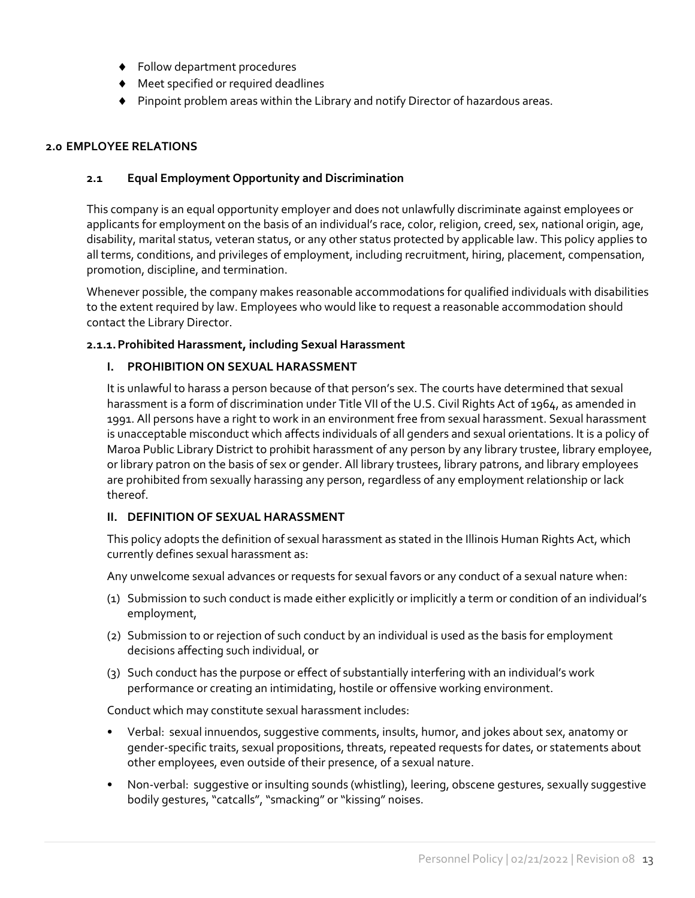- ♦ Follow department procedures
- ♦ Meet specified or required deadlines
- ♦ Pinpoint problem areas within the Library and notify Director of hazardous areas.

#### <span id="page-12-0"></span>**2.0 EMPLOYEE RELATIONS**

#### <span id="page-12-1"></span>**2.1 Equal Employment Opportunity and Discrimination**

This company is an equal opportunity employer and does not unlawfully discriminate against employees or applicants for employment on the basis of an individual's race, color, religion, creed, sex, national origin, age, disability, marital status, veteran status, or any other status protected by applicable law. This policy applies to all terms, conditions, and privileges of employment, including recruitment, hiring, placement, compensation, promotion, discipline, and termination.

Whenever possible, the company makes reasonable accommodations for qualified individuals with disabilities to the extent required by law. Employees who would like to request a reasonable accommodation should contact the Library Director.

#### <span id="page-12-2"></span>**2.1.1.Prohibited Harassment, including Sexual Harassment**

#### **I. PROHIBITION ON SEXUAL HARASSMENT**

It is unlawful to harass a person because of that person's sex. The courts have determined that sexual harassment is a form of discrimination under Title VII of the U.S. Civil Rights Act of 1964, as amended in 1991. All persons have a right to work in an environment free from sexual harassment. Sexual harassment is unacceptable misconduct which affects individuals of all genders and sexual orientations. It is a policy of Maroa Public Library District to prohibit harassment of any person by any library trustee, library employee, or library patron on the basis of sex or gender. All library trustees, library patrons, and library employees are prohibited from sexually harassing any person, regardless of any employment relationship or lack thereof.

#### **II. DEFINITION OF SEXUAL HARASSMENT**

This policy adopts the definition of sexual harassment as stated in the Illinois Human Rights Act, which currently defines sexual harassment as:

Any unwelcome sexual advances or requests for sexual favors or any conduct of a sexual nature when:

- (1) Submission to such conduct is made either explicitly or implicitly a term or condition of an individual's employment,
- (2) Submission to or rejection of such conduct by an individual is used as the basis for employment decisions affecting such individual, or
- (3) Such conduct has the purpose or effect of substantially interfering with an individual's work performance or creating an intimidating, hostile or offensive working environment.

Conduct which may constitute sexual harassment includes:

- Verbal: sexual innuendos, suggestive comments, insults, humor, and jokes about sex, anatomy or gender-specific traits, sexual propositions, threats, repeated requests for dates, or statements about other employees, even outside of their presence, of a sexual nature.
- Non-verbal: suggestive or insulting sounds (whistling), leering, obscene gestures, sexually suggestive bodily gestures, "catcalls", "smacking" or "kissing" noises.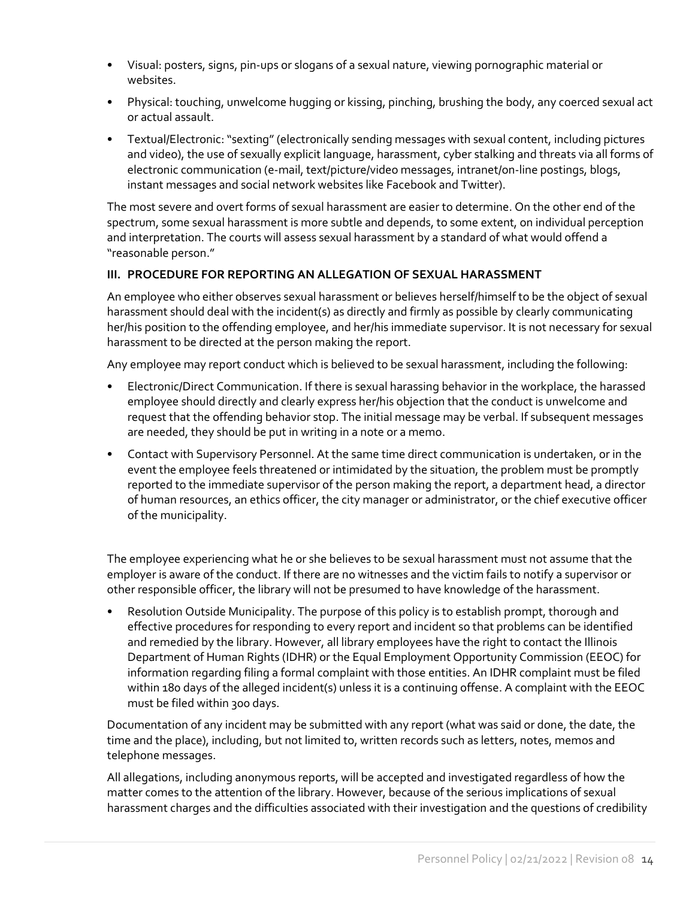- Visual: posters, signs, pin-ups or slogans of a sexual nature, viewing pornographic material or websites.
- Physical: touching, unwelcome hugging or kissing, pinching, brushing the body, any coerced sexual act or actual assault.
- Textual/Electronic: "sexting" (electronically sending messages with sexual content, including pictures and video), the use of sexually explicit language, harassment, cyber stalking and threats via all forms of electronic communication (e-mail, text/picture/video messages, intranet/on-line postings, blogs, instant messages and social network websites like Facebook and Twitter).

The most severe and overt forms of sexual harassment are easier to determine. On the other end of the spectrum, some sexual harassment is more subtle and depends, to some extent, on individual perception and interpretation. The courts will assess sexual harassment by a standard of what would offend a "reasonable person."

## **III. PROCEDURE FOR REPORTING AN ALLEGATION OF SEXUAL HARASSMENT**

An employee who either observes sexual harassment or believes herself/himself to be the object of sexual harassment should deal with the incident(s) as directly and firmly as possible by clearly communicating her/his position to the offending employee, and her/his immediate supervisor. It is not necessary for sexual harassment to be directed at the person making the report.

Any employee may report conduct which is believed to be sexual harassment, including the following:

- Electronic/Direct Communication. If there is sexual harassing behavior in the workplace, the harassed employee should directly and clearly express her/his objection that the conduct is unwelcome and request that the offending behavior stop. The initial message may be verbal. If subsequent messages are needed, they should be put in writing in a note or a memo.
- Contact with Supervisory Personnel. At the same time direct communication is undertaken, or in the event the employee feels threatened or intimidated by the situation, the problem must be promptly reported to the immediate supervisor of the person making the report, a department head, a director of human resources, an ethics officer, the city manager or administrator, or the chief executive officer of the municipality.

The employee experiencing what he or she believes to be sexual harassment must not assume that the employer is aware of the conduct. If there are no witnesses and the victim fails to notify a supervisor or other responsible officer, the library will not be presumed to have knowledge of the harassment.

Resolution Outside Municipality. The purpose of this policy is to establish prompt, thorough and effective procedures for responding to every report and incident so that problems can be identified and remedied by the library. However, all library employees have the right to contact the Illinois Department of Human Rights (IDHR) or the Equal Employment Opportunity Commission (EEOC) for information regarding filing a formal complaint with those entities. An IDHR complaint must be filed within 180 days of the alleged incident(s) unless it is a continuing offense. A complaint with the EEOC must be filed within 300 days.

Documentation of any incident may be submitted with any report (what was said or done, the date, the time and the place), including, but not limited to, written records such as letters, notes, memos and telephone messages.

All allegations, including anonymous reports, will be accepted and investigated regardless of how the matter comes to the attention of the library. However, because of the serious implications of sexual harassment charges and the difficulties associated with their investigation and the questions of credibility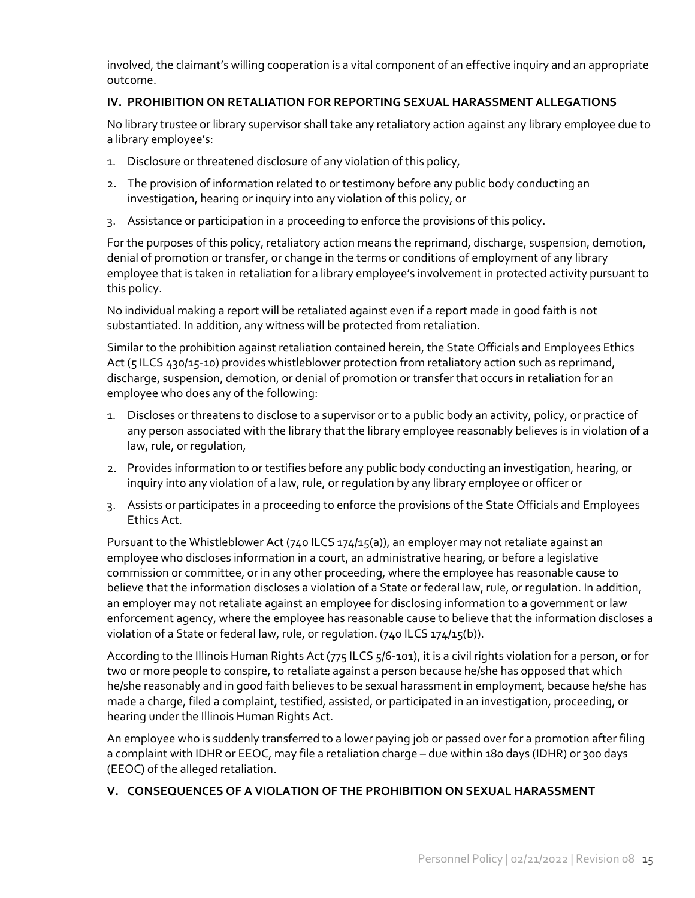involved, the claimant's willing cooperation is a vital component of an effective inquiry and an appropriate outcome.

## **IV. PROHIBITION ON RETALIATION FOR REPORTING SEXUAL HARASSMENT ALLEGATIONS**

No library trustee or library supervisor shall take any retaliatory action against any library employee due to a library employee's:

- 1. Disclosure or threatened disclosure of any violation of this policy,
- 2. The provision of information related to or testimony before any public body conducting an investigation, hearing or inquiry into any violation of this policy, or
- 3. Assistance or participation in a proceeding to enforce the provisions of this policy.

For the purposes of this policy, retaliatory action means the reprimand, discharge, suspension, demotion, denial of promotion or transfer, or change in the terms or conditions of employment of any library employee that is taken in retaliation for a library employee's involvement in protected activity pursuant to this policy.

No individual making a report will be retaliated against even if a report made in good faith is not substantiated. In addition, any witness will be protected from retaliation.

Similar to the prohibition against retaliation contained herein, the State Officials and Employees Ethics Act (5 ILCS 430/15-10) provides whistleblower protection from retaliatory action such as reprimand, discharge, suspension, demotion, or denial of promotion or transfer that occurs in retaliation for an employee who does any of the following:

- 1. Discloses or threatens to disclose to a supervisor or to a public body an activity, policy, or practice of any person associated with the library that the library employee reasonably believes is in violation of a law, rule, or regulation,
- 2. Provides information to or testifies before any public body conducting an investigation, hearing, or inquiry into any violation of a law, rule, or regulation by any library employee or officer or
- 3. Assists or participates in a proceeding to enforce the provisions of the State Officials and Employees Ethics Act.

Pursuant to the Whistleblower Act (740 ILCS 174/15(a)), an employer may not retaliate against an employee who discloses information in a court, an administrative hearing, or before a legislative commission or committee, or in any other proceeding, where the employee has reasonable cause to believe that the information discloses a violation of a State or federal law, rule, or regulation. In addition, an employer may not retaliate against an employee for disclosing information to a government or law enforcement agency, where the employee has reasonable cause to believe that the information discloses a violation of a State or federal law, rule, or regulation. (740 ILCS 174/15(b)).

According to the Illinois Human Rights Act (775 ILCS 5/6-101), it is a civil rights violation for a person, or for two or more people to conspire, to retaliate against a person because he/she has opposed that which he/she reasonably and in good faith believes to be sexual harassment in employment, because he/she has made a charge, filed a complaint, testified, assisted, or participated in an investigation, proceeding, or hearing under the Illinois Human Rights Act.

An employee who is suddenly transferred to a lower paying job or passed over for a promotion after filing a complaint with IDHR or EEOC, may file a retaliation charge – due within 180 days (IDHR) or 300 days (EEOC) of the alleged retaliation.

## **V. CONSEQUENCES OF A VIOLATION OF THE PROHIBITION ON SEXUAL HARASSMENT**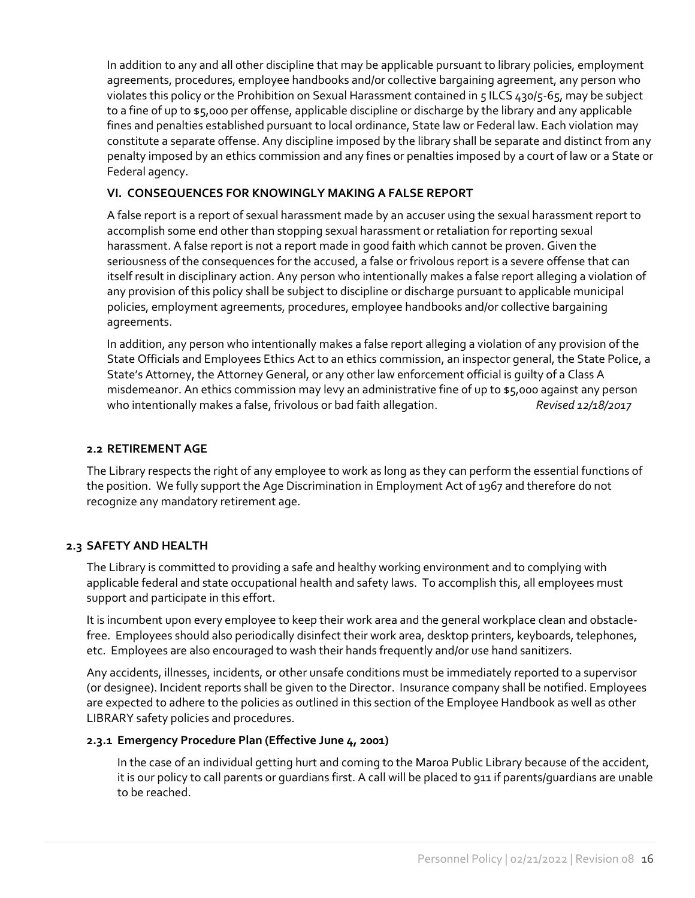In addition to any and all other discipline that may be applicable pursuant to library policies, employment agreements, procedures, employee handbooks and/or collective bargaining agreement, any person who violates this policy or the Prohibition on Sexual Harassment contained in 5 ILCS 430/5-65, may be subject to a fine of up to \$5,000 per offense, applicable discipline or discharge by the library and any applicable fines and penalties established pursuant to local ordinance, State law or Federal law. Each violation may constitute a separate offense. Any discipline imposed by the library shall be separate and distinct from any penalty imposed by an ethics commission and any fines or penalties imposed by a court of law or a State or Federal agency.

## **VI. CONSEQUENCES FOR KNOWINGLY MAKING A FALSE REPORT**

A false report is a report of sexual harassment made by an accuser using the sexual harassment report to accomplish some end other than stopping sexual harassment or retaliation for reporting sexual harassment. A false report is not a report made in good faith which cannot be proven. Given the seriousness of the consequences for the accused, a false or frivolous report is a severe offense that can itself result in disciplinary action. Any person who intentionally makes a false report alleging a violation of any provision of this policy shall be subject to discipline or discharge pursuant to applicable municipal policies, employment agreements, procedures, employee handbooks and/or collective bargaining agreements.

In addition, any person who intentionally makes a false report alleging a violation of any provision of the State Officials and Employees Ethics Act to an ethics commission, an inspector general, the State Police, a State's Attorney, the Attorney General, or any other law enforcement official is guilty of a Class A misdemeanor. An ethics commission may levy an administrative fine of up to \$5,000 against any person who intentionally makes a false, frivolous or bad faith allegation. *Revised 12/18/2017* 

## <span id="page-15-0"></span>**2.2 RETIREMENT AGE**

The Library respects the right of any employee to work as long as they can perform the essential functions of the position. We fully support the Age Discrimination in Employment Act of 1967 and therefore do not recognize any mandatory retirement age.

## <span id="page-15-1"></span>**2.3 SAFETY AND HEALTH**

The Library is committed to providing a safe and healthy working environment and to complying with applicable federal and state occupational health and safety laws. To accomplish this, all employees must support and participate in this effort.

It is incumbent upon every employee to keep their work area and the general workplace clean and obstaclefree. Employees should also periodically disinfect their work area, desktop printers, keyboards, telephones, etc. Employees are also encouraged to wash their hands frequently and/or use hand sanitizers.

Any accidents, illnesses, incidents, or other unsafe conditions must be immediately reported to a supervisor (or designee). Incident reports shall be given to the Director. Insurance company shall be notified. Employees are expected to adhere to the policies as outlined in this section of the Employee Handbook as well as other LIBRARY safety policies and procedures.

## **2.3.1 Emergency Procedure Plan (Effective June 4, 2001)**

<span id="page-15-2"></span>In the case of an individual getting hurt and coming to the Maroa Public Library because of the accident, it is our policy to call parents or guardians first. A call will be placed to 911 if parents/guardians are unable to be reached.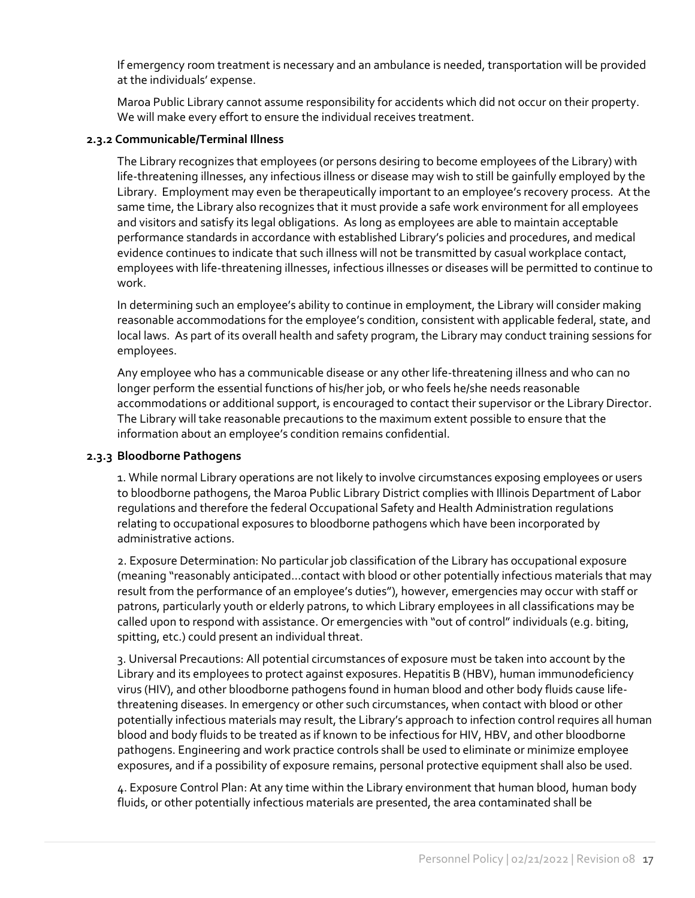If emergency room treatment is necessary and an ambulance is needed, transportation will be provided at the individuals' expense.

Maroa Public Library cannot assume responsibility for accidents which did not occur on their property. We will make every effort to ensure the individual receives treatment.

#### **2.3.2 Communicable/Terminal Illness**

<span id="page-16-0"></span>The Library recognizes that employees (or persons desiring to become employees of the Library) with life-threatening illnesses, any infectious illness or disease may wish to still be gainfully employed by the Library. Employment may even be therapeutically important to an employee's recovery process. At the same time, the Library also recognizes that it must provide a safe work environment for all employees and visitors and satisfy its legal obligations. As long as employees are able to maintain acceptable performance standards in accordance with established Library's policies and procedures, and medical evidence continues to indicate that such illness will not be transmitted by casual workplace contact, employees with life-threatening illnesses, infectious illnesses or diseases will be permitted to continue to work.

In determining such an employee's ability to continue in employment, the Library will consider making reasonable accommodations for the employee's condition, consistent with applicable federal, state, and local laws. As part of its overall health and safety program, the Library may conduct training sessions for employees.

Any employee who has a communicable disease or any other life-threatening illness and who can no longer perform the essential functions of his/her job, or who feels he/she needs reasonable accommodations or additional support, is encouraged to contact their supervisor or the Library Director. The Library will take reasonable precautions to the maximum extent possible to ensure that the information about an employee's condition remains confidential.

## **2.3.3 Bloodborne Pathogens**

<span id="page-16-1"></span>1. While normal Library operations are not likely to involve circumstances exposing employees or users to bloodborne pathogens, the Maroa Public Library District complies with Illinois Department of Labor regulations and therefore the federal Occupational Safety and Health Administration regulations relating to occupational exposures to bloodborne pathogens which have been incorporated by administrative actions.

2. Exposure Determination: No particular job classification of the Library has occupational exposure (meaning "reasonably anticipated…contact with blood or other potentially infectious materials that may result from the performance of an employee's duties"), however, emergencies may occur with staff or patrons, particularly youth or elderly patrons, to which Library employees in all classifications may be called upon to respond with assistance. Or emergencies with "out of control" individuals (e.g. biting, spitting, etc.) could present an individual threat.

3. Universal Precautions: All potential circumstances of exposure must be taken into account by the Library and its employees to protect against exposures. Hepatitis B (HBV), human immunodeficiency virus (HIV), and other bloodborne pathogens found in human blood and other body fluids cause lifethreatening diseases. In emergency or other such circumstances, when contact with blood or other potentially infectious materials may result, the Library's approach to infection control requires all human blood and body fluids to be treated as if known to be infectious for HIV, HBV, and other bloodborne pathogens. Engineering and work practice controls shall be used to eliminate or minimize employee exposures, and if a possibility of exposure remains, personal protective equipment shall also be used.

4. Exposure Control Plan: At any time within the Library environment that human blood, human body fluids, or other potentially infectious materials are presented, the area contaminated shall be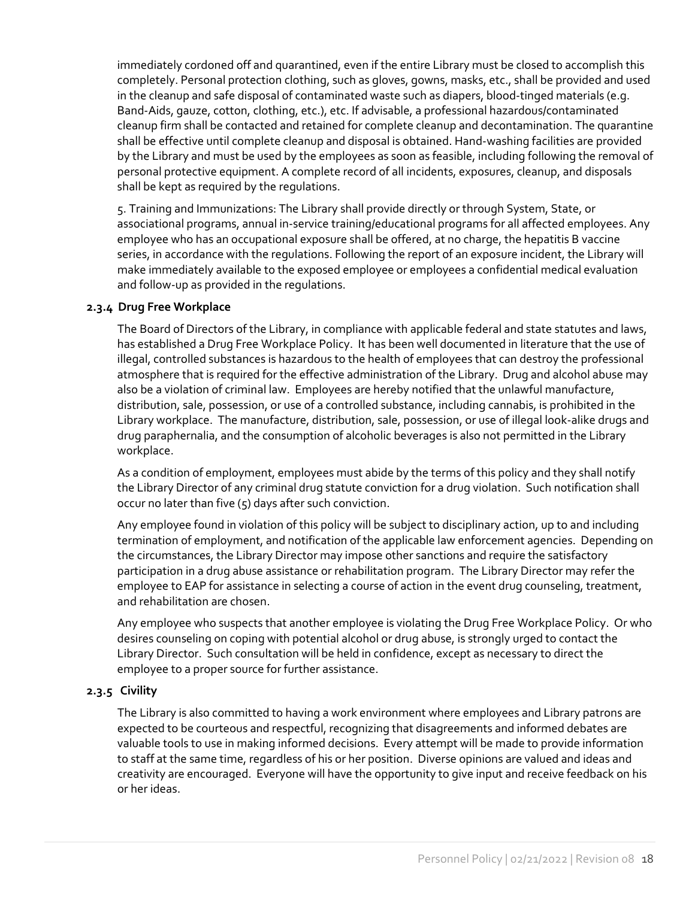immediately cordoned off and quarantined, even if the entire Library must be closed to accomplish this completely. Personal protection clothing, such as gloves, gowns, masks, etc., shall be provided and used in the cleanup and safe disposal of contaminated waste such as diapers, blood-tinged materials (e.g. Band-Aids, gauze, cotton, clothing, etc.), etc. If advisable, a professional hazardous/contaminated cleanup firm shall be contacted and retained for complete cleanup and decontamination. The quarantine shall be effective until complete cleanup and disposal is obtained. Hand-washing facilities are provided by the Library and must be used by the employees as soon as feasible, including following the removal of personal protective equipment. A complete record of all incidents, exposures, cleanup, and disposals shall be kept as required by the regulations.

5. Training and Immunizations: The Library shall provide directly or through System, State, or associational programs, annual in-service training/educational programs for all affected employees. Any employee who has an occupational exposure shall be offered, at no charge, the hepatitis B vaccine series, in accordance with the regulations. Following the report of an exposure incident, the Library will make immediately available to the exposed employee or employees a confidential medical evaluation and follow-up as provided in the regulations.

#### **2.3.4 Drug Free Workplace**

<span id="page-17-0"></span>The Board of Directors of the Library, in compliance with applicable federal and state statutes and laws, has established a Drug Free Workplace Policy. It has been well documented in literature that the use of illegal, controlled substances is hazardous to the health of employees that can destroy the professional atmosphere that is required for the effective administration of the Library. Drug and alcohol abuse may also be a violation of criminal law. Employees are hereby notified that the unlawful manufacture, distribution, sale, possession, or use of a controlled substance, including cannabis, is prohibited in the Library workplace. The manufacture, distribution, sale, possession, or use of illegal look-alike drugs and drug paraphernalia, and the consumption of alcoholic beverages is also not permitted in the Library workplace.

As a condition of employment, employees must abide by the terms of this policy and they shall notify the Library Director of any criminal drug statute conviction for a drug violation. Such notification shall occur no later than five (5) days after such conviction.

Any employee found in violation of this policy will be subject to disciplinary action, up to and including termination of employment, and notification of the applicable law enforcement agencies. Depending on the circumstances, the Library Director may impose other sanctions and require the satisfactory participation in a drug abuse assistance or rehabilitation program. The Library Director may refer the employee to EAP for assistance in selecting a course of action in the event drug counseling, treatment, and rehabilitation are chosen.

Any employee who suspects that another employee is violating the Drug Free Workplace Policy. Or who desires counseling on coping with potential alcohol or drug abuse, is strongly urged to contact the Library Director. Such consultation will be held in confidence, except as necessary to direct the employee to a proper source for further assistance.

#### **2.3.5 Civility**

<span id="page-17-1"></span>The Library is also committed to having a work environment where employees and Library patrons are expected to be courteous and respectful, recognizing that disagreements and informed debates are valuable tools to use in making informed decisions. Every attempt will be made to provide information to staff at the same time, regardless of his or her position. Diverse opinions are valued and ideas and creativity are encouraged. Everyone will have the opportunity to give input and receive feedback on his or her ideas.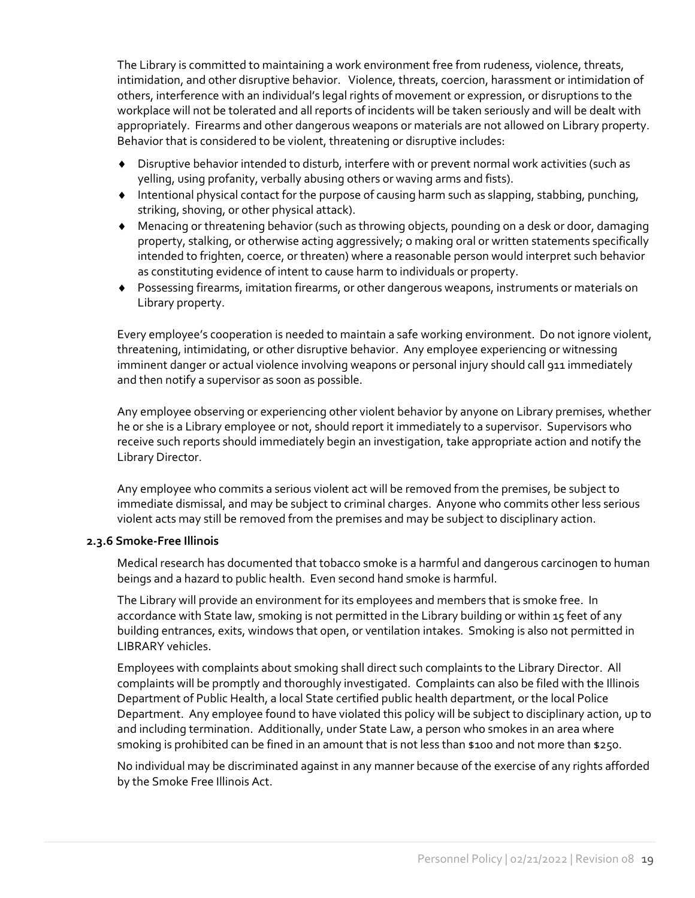The Library is committed to maintaining a work environment free from rudeness, violence, threats, intimidation, and other disruptive behavior. Violence, threats, coercion, harassment or intimidation of others, interference with an individual's legal rights of movement or expression, or disruptions to the workplace will not be tolerated and all reports of incidents will be taken seriously and will be dealt with appropriately. Firearms and other dangerous weapons or materials are not allowed on Library property. Behavior that is considered to be violent, threatening or disruptive includes:

- ♦ Disruptive behavior intended to disturb, interfere with or prevent normal work activities (such as yelling, using profanity, verbally abusing others or waving arms and fists).
- ♦ Intentional physical contact for the purpose of causing harm such as slapping, stabbing, punching, striking, shoving, or other physical attack).
- ♦ Menacing or threatening behavior (such as throwing objects, pounding on a desk or door, damaging property, stalking, or otherwise acting aggressively; o making oral or written statements specifically intended to frighten, coerce, or threaten) where a reasonable person would interpret such behavior as constituting evidence of intent to cause harm to individuals or property.
- ♦ Possessing firearms, imitation firearms, or other dangerous weapons, instruments or materials on Library property.

Every employee's cooperation is needed to maintain a safe working environment. Do not ignore violent, threatening, intimidating, or other disruptive behavior. Any employee experiencing or witnessing imminent danger or actual violence involving weapons or personal injury should call 911 immediately and then notify a supervisor as soon as possible.

Any employee observing or experiencing other violent behavior by anyone on Library premises, whether he or she is a Library employee or not, should report it immediately to a supervisor. Supervisors who receive such reports should immediately begin an investigation, take appropriate action and notify the Library Director.

Any employee who commits a serious violent act will be removed from the premises, be subject to immediate dismissal, and may be subject to criminal charges. Anyone who commits other less serious violent acts may still be removed from the premises and may be subject to disciplinary action.

#### **2.3.6 Smoke-Free Illinois**

<span id="page-18-0"></span>Medical research has documented that tobacco smoke is a harmful and dangerous carcinogen to human beings and a hazard to public health. Even second hand smoke is harmful.

The Library will provide an environment for its employees and members that is smoke free. In accordance with State law, smoking is not permitted in the Library building or within 15 feet of any building entrances, exits, windows that open, or ventilation intakes. Smoking is also not permitted in LIBRARY vehicles.

Employees with complaints about smoking shall direct such complaints to the Library Director. All complaints will be promptly and thoroughly investigated. Complaints can also be filed with the Illinois Department of Public Health, a local State certified public health department, or the local Police Department. Any employee found to have violated this policy will be subject to disciplinary action, up to and including termination. Additionally, under State Law, a person who smokes in an area where smoking is prohibited can be fined in an amount that is not less than \$100 and not more than \$250.

No individual may be discriminated against in any manner because of the exercise of any rights afforded by the Smoke Free Illinois Act.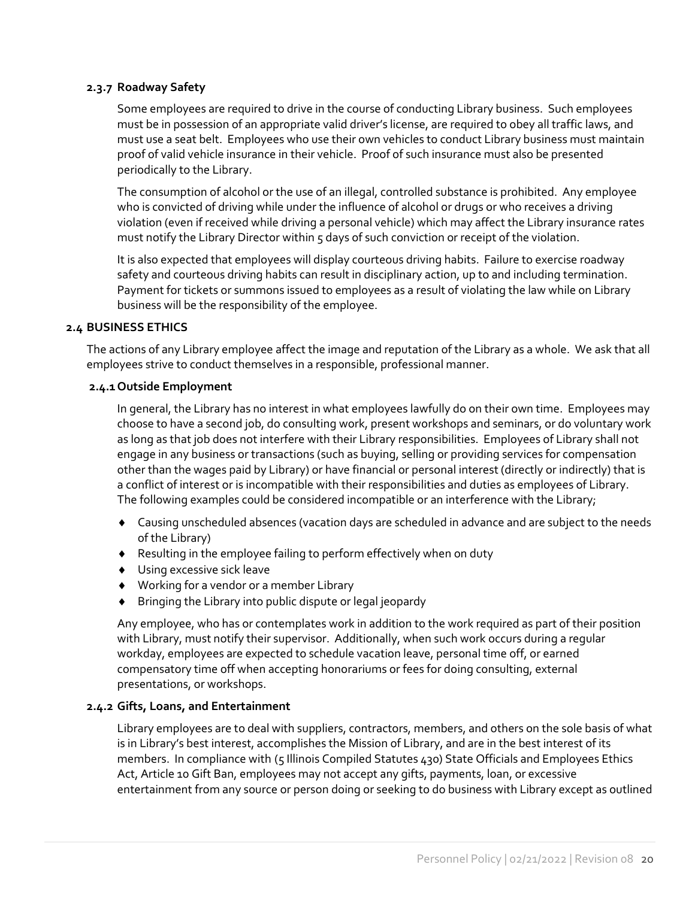#### **2.3.7 Roadway Safety**

<span id="page-19-0"></span>Some employees are required to drive in the course of conducting Library business. Such employees must be in possession of an appropriate valid driver's license, are required to obey all traffic laws, and must use a seat belt. Employees who use their own vehicles to conduct Library business must maintain proof of valid vehicle insurance in their vehicle. Proof of such insurance must also be presented periodically to the Library.

The consumption of alcohol or the use of an illegal, controlled substance is prohibited. Any employee who is convicted of driving while under the influence of alcohol or drugs or who receives a driving violation (even if received while driving a personal vehicle) which may affect the Library insurance rates must notify the Library Director within 5 days of such conviction or receipt of the violation.

It is also expected that employees will display courteous driving habits. Failure to exercise roadway safety and courteous driving habits can result in disciplinary action, up to and including termination. Payment for tickets or summons issued to employees as a result of violating the law while on Library business will be the responsibility of the employee.

#### <span id="page-19-1"></span>**2.4 BUSINESS ETHICS**

The actions of any Library employee affect the image and reputation of the Library as a whole. We ask that all employees strive to conduct themselves in a responsible, professional manner.

#### **2.4.1Outside Employment**

<span id="page-19-2"></span>In general, the Library has no interest in what employees lawfully do on their own time. Employees may choose to have a second job, do consulting work, present workshops and seminars, or do voluntary work as long as that job does not interfere with their Library responsibilities. Employees of Library shall not engage in any business or transactions (such as buying, selling or providing services for compensation other than the wages paid by Library) or have financial or personal interest (directly or indirectly) that is a conflict of interest or is incompatible with their responsibilities and duties as employees of Library. The following examples could be considered incompatible or an interference with the Library;

- ♦ Causing unscheduled absences (vacation days are scheduled in advance and are subject to the needs of the Library)
- ♦ Resulting in the employee failing to perform effectively when on duty
- ♦ Using excessive sick leave
- ♦ Working for a vendor or a member Library
- Bringing the Library into public dispute or legal jeopardy

Any employee, who has or contemplates work in addition to the work required as part of their position with Library, must notify their supervisor. Additionally, when such work occurs during a regular workday, employees are expected to schedule vacation leave, personal time off, or earned compensatory time off when accepting honorariums or fees for doing consulting, external presentations, or workshops.

#### **2.4.2 Gifts, Loans, and Entertainment**

<span id="page-19-3"></span>Library employees are to deal with suppliers, contractors, members, and others on the sole basis of what is in Library's best interest, accomplishes the Mission of Library, and are in the best interest of its members. In compliance with (5 Illinois Compiled Statutes 430) State Officials and Employees Ethics Act, Article 10 Gift Ban, employees may not accept any gifts, payments, loan, or excessive entertainment from any source or person doing or seeking to do business with Library except as outlined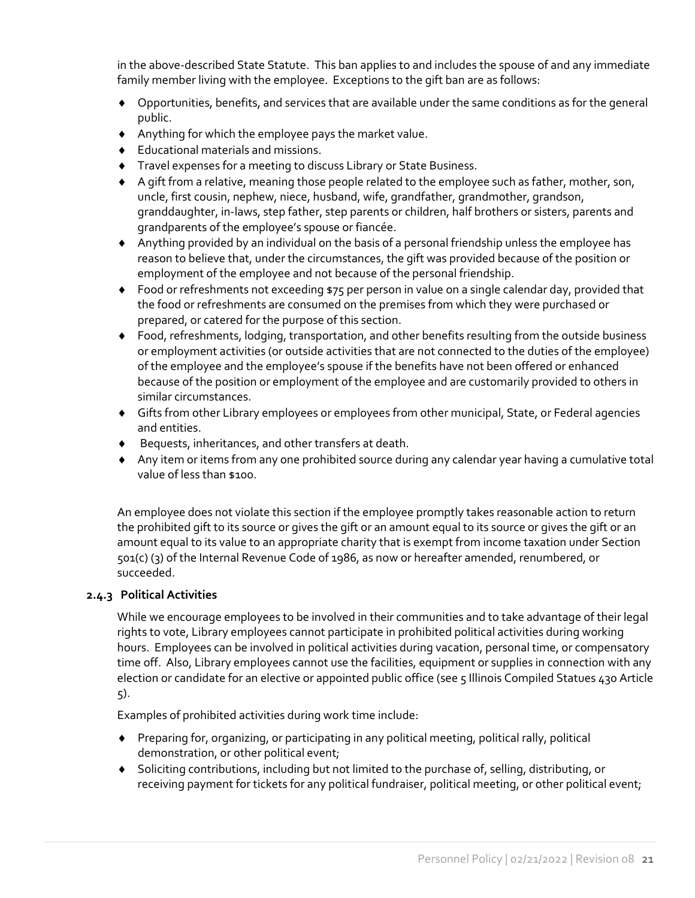in the above-described State Statute. This ban applies to and includes the spouse of and any immediate family member living with the employee. Exceptions to the gift ban are as follows:

- ♦ Opportunities, benefits, and services that are available under the same conditions as for the general public.
- ♦ Anything for which the employee pays the market value.
- ♦ Educational materials and missions.
- ♦ Travel expenses for a meeting to discuss Library or State Business.
- ♦ A gift from a relative, meaning those people related to the employee such as father, mother, son, uncle, first cousin, nephew, niece, husband, wife, grandfather, grandmother, grandson, granddaughter, in-laws, step father, step parents or children, half brothers or sisters, parents and grandparents of the employee's spouse or fiancée.
- ♦ Anything provided by an individual on the basis of a personal friendship unless the employee has reason to believe that, under the circumstances, the gift was provided because of the position or employment of the employee and not because of the personal friendship.
- ♦ Food or refreshments not exceeding \$75 per person in value on a single calendar day, provided that the food or refreshments are consumed on the premises from which they were purchased or prepared, or catered for the purpose of this section.
- ♦ Food, refreshments, lodging, transportation, and other benefits resulting from the outside business or employment activities (or outside activities that are not connected to the duties of the employee) of the employee and the employee's spouse if the benefits have not been offered or enhanced because of the position or employment of the employee and are customarily provided to others in similar circumstances.
- ♦ Gifts from other Library employees or employees from other municipal, State, or Federal agencies and entities.
- ♦ Bequests, inheritances, and other transfers at death.
- ♦ Any item or items from any one prohibited source during any calendar year having a cumulative total value of less than \$100.

An employee does not violate this section if the employee promptly takes reasonable action to return the prohibited gift to its source or gives the gift or an amount equal to its source or gives the gift or an amount equal to its value to an appropriate charity that is exempt from income taxation under Section 501(c) (3) of the Internal Revenue Code of 1986, as now or hereafter amended, renumbered, or succeeded.

## **2.4.3 Political Activities**

<span id="page-20-0"></span>While we encourage employees to be involved in their communities and to take advantage of their legal rights to vote, Library employees cannot participate in prohibited political activities during working hours. Employees can be involved in political activities during vacation, personal time, or compensatory time off. Also, Library employees cannot use the facilities, equipment or supplies in connection with any election or candidate for an elective or appointed public office (see 5 Illinois Compiled Statues 430 Article 5).

Examples of prohibited activities during work time include:

- ♦ Preparing for, organizing, or participating in any political meeting, political rally, political demonstration, or other political event;
- ♦ Soliciting contributions, including but not limited to the purchase of, selling, distributing, or receiving payment for tickets for any political fundraiser, political meeting, or other political event;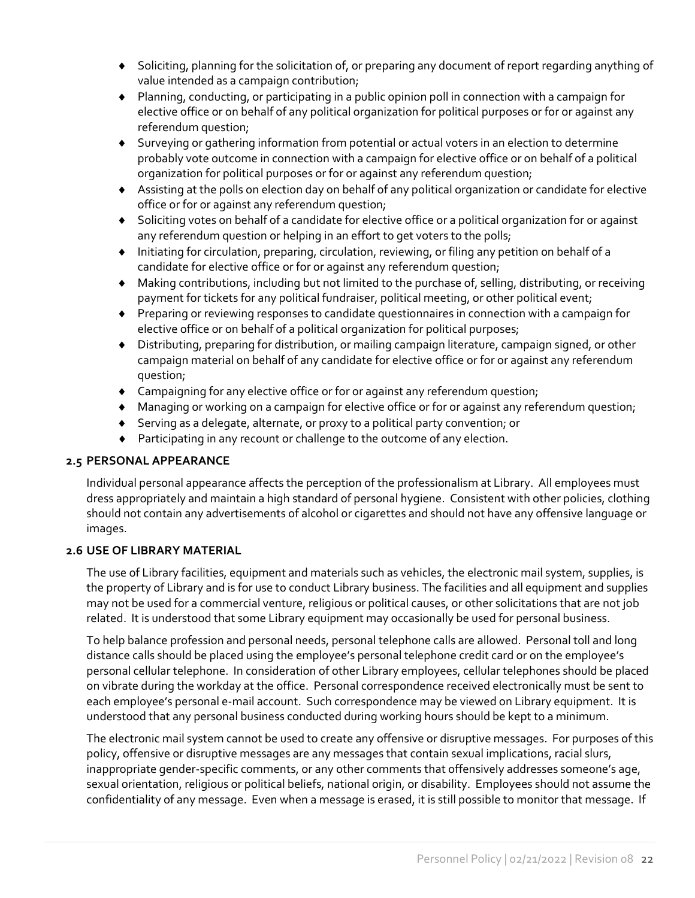- ♦ Soliciting, planning for the solicitation of, or preparing any document of report regarding anything of value intended as a campaign contribution;
- ♦ Planning, conducting, or participating in a public opinion poll in connection with a campaign for elective office or on behalf of any political organization for political purposes or for or against any referendum question;
- ♦ Surveying or gathering information from potential or actual voters in an election to determine probably vote outcome in connection with a campaign for elective office or on behalf of a political organization for political purposes or for or against any referendum question;
- ♦ Assisting at the polls on election day on behalf of any political organization or candidate for elective office or for or against any referendum question;
- ♦ Soliciting votes on behalf of a candidate for elective office or a political organization for or against any referendum question or helping in an effort to get voters to the polls;
- ♦ Initiating for circulation, preparing, circulation, reviewing, or filing any petition on behalf of a candidate for elective office or for or against any referendum question;
- ♦ Making contributions, including but not limited to the purchase of, selling, distributing, or receiving payment for tickets for any political fundraiser, political meeting, or other political event;
- ♦ Preparing or reviewing responses to candidate questionnaires in connection with a campaign for elective office or on behalf of a political organization for political purposes;
- ♦ Distributing, preparing for distribution, or mailing campaign literature, campaign signed, or other campaign material on behalf of any candidate for elective office or for or against any referendum question;
- ♦ Campaigning for any elective office or for or against any referendum question;
- ♦ Managing or working on a campaign for elective office or for or against any referendum question;
- ♦ Serving as a delegate, alternate, or proxy to a political party convention; or
- ♦ Participating in any recount or challenge to the outcome of any election.

## <span id="page-21-0"></span>**2.5 PERSONAL APPEARANCE**

Individual personal appearance affects the perception of the professionalism at Library. All employees must dress appropriately and maintain a high standard of personal hygiene. Consistent with other policies, clothing should not contain any advertisements of alcohol or cigarettes and should not have any offensive language or images.

## <span id="page-21-1"></span>**2.6 USE OF LIBRARY MATERIAL**

The use of Library facilities, equipment and materials such as vehicles, the electronic mail system, supplies, is the property of Library and is for use to conduct Library business. The facilities and all equipment and supplies may not be used for a commercial venture, religious or political causes, or other solicitations that are not job related. It is understood that some Library equipment may occasionally be used for personal business.

To help balance profession and personal needs, personal telephone calls are allowed. Personal toll and long distance calls should be placed using the employee's personal telephone credit card or on the employee's personal cellular telephone. In consideration of other Library employees, cellular telephones should be placed on vibrate during the workday at the office. Personal correspondence received electronically must be sent to each employee's personal e-mail account. Such correspondence may be viewed on Library equipment. It is understood that any personal business conducted during working hours should be kept to a minimum.

The electronic mail system cannot be used to create any offensive or disruptive messages. For purposes of this policy, offensive or disruptive messages are any messages that contain sexual implications, racial slurs, inappropriate gender-specific comments, or any other comments that offensively addresses someone's age, sexual orientation, religious or political beliefs, national origin, or disability. Employees should not assume the confidentiality of any message. Even when a message is erased, it is still possible to monitor that message. If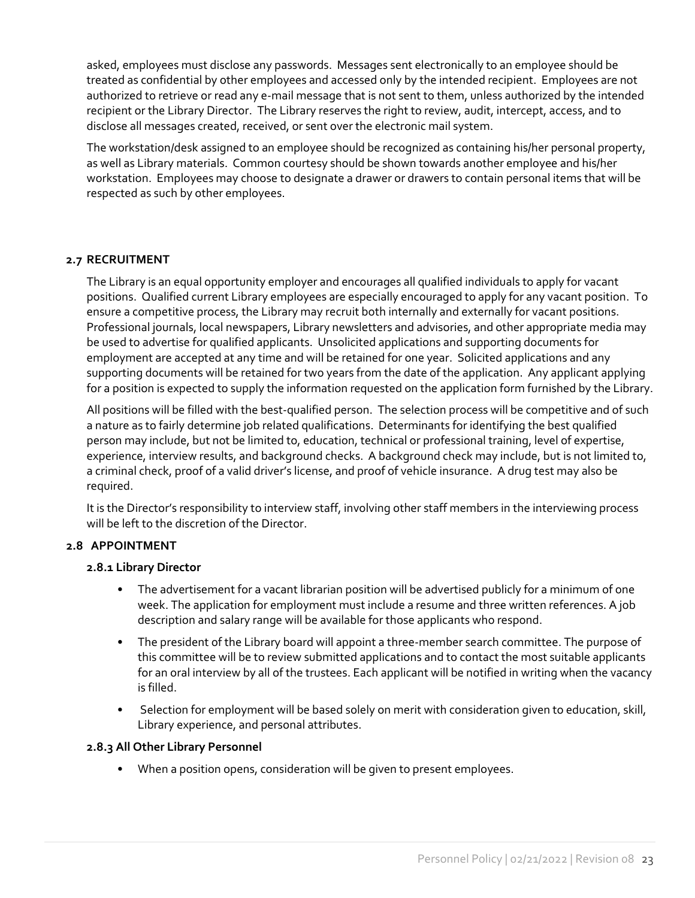asked, employees must disclose any passwords. Messages sent electronically to an employee should be treated as confidential by other employees and accessed only by the intended recipient. Employees are not authorized to retrieve or read any e-mail message that is not sent to them, unless authorized by the intended recipient or the Library Director. The Library reserves the right to review, audit, intercept, access, and to disclose all messages created, received, or sent over the electronic mail system.

The workstation/desk assigned to an employee should be recognized as containing his/her personal property, as well as Library materials. Common courtesy should be shown towards another employee and his/her workstation. Employees may choose to designate a drawer or drawers to contain personal items that will be respected as such by other employees.

#### <span id="page-22-0"></span>**2.7 RECRUITMENT**

The Library is an equal opportunity employer and encourages all qualified individuals to apply for vacant positions. Qualified current Library employees are especially encouraged to apply for any vacant position. To ensure a competitive process, the Library may recruit both internally and externally for vacant positions. Professional journals, local newspapers, Library newsletters and advisories, and other appropriate media may be used to advertise for qualified applicants. Unsolicited applications and supporting documents for employment are accepted at any time and will be retained for one year. Solicited applications and any supporting documents will be retained for two years from the date of the application. Any applicant applying for a position is expected to supply the information requested on the application form furnished by the Library.

All positions will be filled with the best-qualified person. The selection process will be competitive and of such a nature as to fairly determine job related qualifications. Determinants for identifying the best qualified person may include, but not be limited to, education, technical or professional training, level of expertise, experience, interview results, and background checks. A background check may include, but is not limited to, a criminal check, proof of a valid driver's license, and proof of vehicle insurance. A drug test may also be required.

It is the Director's responsibility to interview staff, involving other staff members in the interviewing process will be left to the discretion of the Director.

## <span id="page-22-1"></span>**2.8 APPOINTMENT**

#### **2.8.1 Library Director**

- The advertisement for a vacant librarian position will be advertised publicly for a minimum of one week. The application for employment must include a resume and three written references. A job description and salary range will be available for those applicants who respond.
- The president of the Library board will appoint a three-member search committee. The purpose of this committee will be to review submitted applications and to contact the most suitable applicants for an oral interview by all of the trustees. Each applicant will be notified in writing when the vacancy is filled.
- Selection for employment will be based solely on merit with consideration given to education, skill, Library experience, and personal attributes.

#### **2.8.3 All Other Library Personnel**

• When a position opens, consideration will be given to present employees.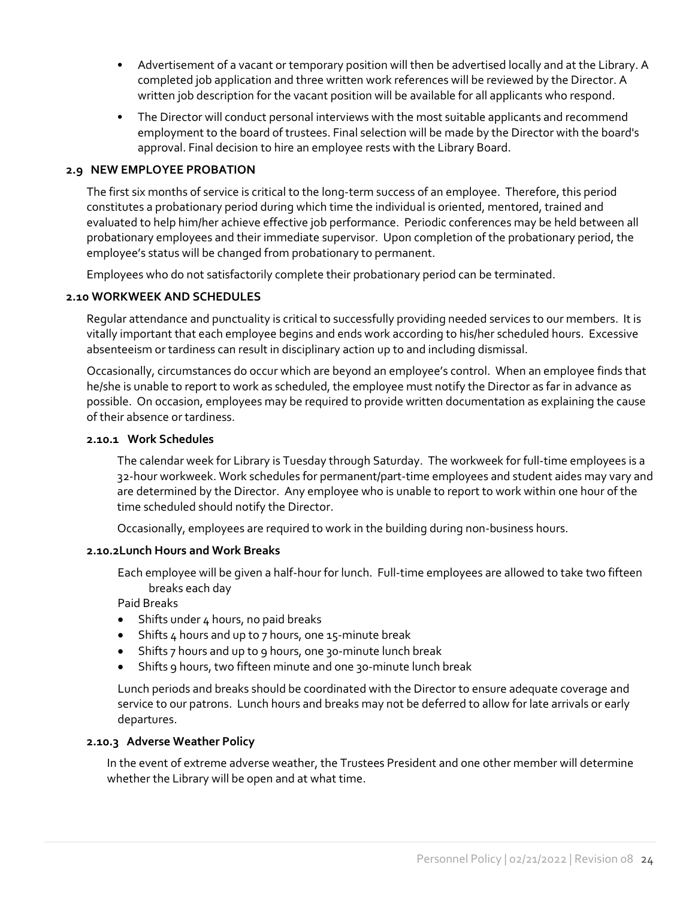- Advertisement of a vacant or temporary position will then be advertised locally and at the Library. A completed job application and three written work references will be reviewed by the Director. A written job description for the vacant position will be available for all applicants who respond.
- The Director will conduct personal interviews with the most suitable applicants and recommend employment to the board of trustees. Final selection will be made by the Director with the board's approval. Final decision to hire an employee rests with the Library Board.

## <span id="page-23-0"></span>**2.9 NEW EMPLOYEE PROBATION**

The first six months of service is critical to the long-term success of an employee. Therefore, this period constitutes a probationary period during which time the individual is oriented, mentored, trained and evaluated to help him/her achieve effective job performance. Periodic conferences may be held between all probationary employees and their immediate supervisor. Upon completion of the probationary period, the employee's status will be changed from probationary to permanent.

<span id="page-23-1"></span>Employees who do not satisfactorily complete their probationary period can be terminated.

#### **2.10 WORKWEEK AND SCHEDULES**

Regular attendance and punctuality is critical to successfully providing needed services to our members. It is vitally important that each employee begins and ends work according to his/her scheduled hours. Excessive absenteeism or tardiness can result in disciplinary action up to and including dismissal.

Occasionally, circumstances do occur which are beyond an employee's control. When an employee finds that he/she is unable to report to work as scheduled, the employee must notify the Director as far in advance as possible. On occasion, employees may be required to provide written documentation as explaining the cause of their absence or tardiness.

#### **2.10.1 Work Schedules**

<span id="page-23-2"></span>The calendar week for Library is Tuesday through Saturday. The workweek for full-time employees is a 32-hour workweek. Work schedules for permanent/part-time employees and student aides may vary and are determined by the Director. Any employee who is unable to report to work within one hour of the time scheduled should notify the Director.

<span id="page-23-3"></span>Occasionally, employees are required to work in the building during non-business hours.

#### **2.10.2Lunch Hours and Work Breaks**

Each employee will be given a half-hour for lunch. Full-time employees are allowed to take two fifteen breaks each day

Paid Breaks

- Shifts under 4 hours, no paid breaks
- Shifts 4 hours and up to 7 hours, one 15-minute break
- Shifts 7 hours and up to 9 hours, one 30-minute lunch break
- Shifts 9 hours, two fifteen minute and one 30-minute lunch break

Lunch periods and breaks should be coordinated with the Director to ensure adequate coverage and service to our patrons. Lunch hours and breaks may not be deferred to allow for late arrivals or early departures.

#### **2.10.3 Adverse Weather Policy**

<span id="page-23-4"></span>In the event of extreme adverse weather, the Trustees President and one other member will determine whether the Library will be open and at what time.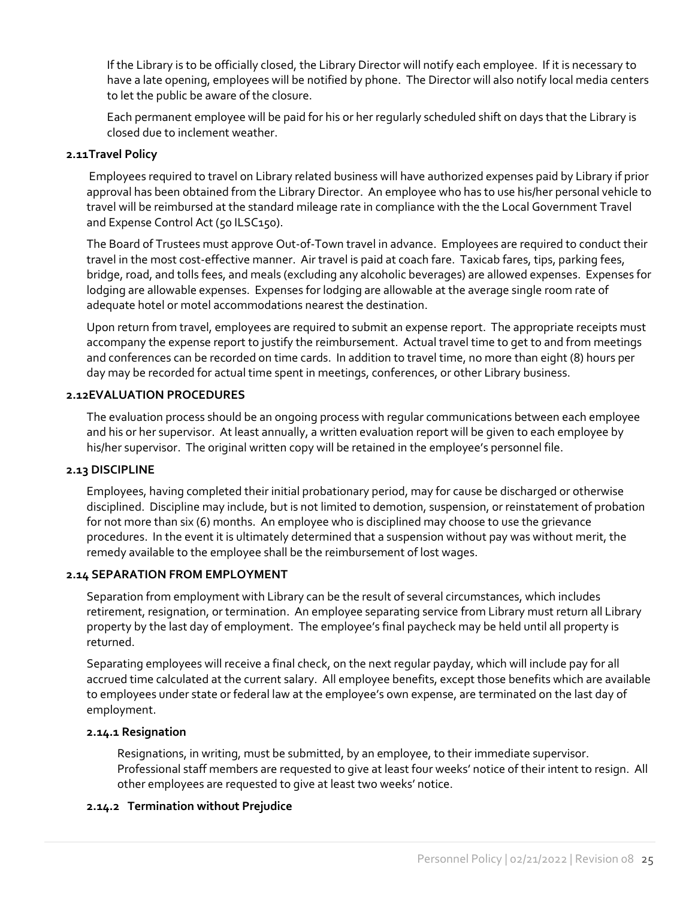If the Library is to be officially closed, the Library Director will notify each employee. If it is necessary to have a late opening, employees will be notified by phone. The Director will also notify local media centers to let the public be aware of the closure.

Each permanent employee will be paid for his or her regularly scheduled shift on days that the Library is closed due to inclement weather.

#### <span id="page-24-0"></span>**2.11Travel Policy**

Employees required to travel on Library related business will have authorized expenses paid by Library if prior approval has been obtained from the Library Director. An employee who has to use his/her personal vehicle to travel will be reimbursed at the standard mileage rate in compliance with the the Local Government Travel and Expense Control Act (50 ILSC150).

The Board of Trustees must approve Out-of-Town travel in advance. Employees are required to conduct their travel in the most cost-effective manner. Air travel is paid at coach fare. Taxicab fares, tips, parking fees, bridge, road, and tolls fees, and meals (excluding any alcoholic beverages) are allowed expenses. Expenses for lodging are allowable expenses. Expenses for lodging are allowable at the average single room rate of adequate hotel or motel accommodations nearest the destination.

Upon return from travel, employees are required to submit an expense report. The appropriate receipts must accompany the expense report to justify the reimbursement. Actual travel time to get to and from meetings and conferences can be recorded on time cards. In addition to travel time, no more than eight (8) hours per day may be recorded for actual time spent in meetings, conferences, or other Library business.

#### <span id="page-24-1"></span>**2.12EVALUATION PROCEDURES**

The evaluation process should be an ongoing process with regular communications between each employee and his or her supervisor. At least annually, a written evaluation report will be given to each employee by his/her supervisor. The original written copy will be retained in the employee's personnel file.

#### <span id="page-24-2"></span>**2.13 DISCIPLINE**

Employees, having completed their initial probationary period, may for cause be discharged or otherwise disciplined. Discipline may include, but is not limited to demotion, suspension, or reinstatement of probation for not more than six (6) months. An employee who is disciplined may choose to use the grievance procedures. In the event it is ultimately determined that a suspension without pay was without merit, the remedy available to the employee shall be the reimbursement of lost wages.

## <span id="page-24-3"></span>**2.14 SEPARATION FROM EMPLOYMENT**

Separation from employment with Library can be the result of several circumstances, which includes retirement, resignation, or termination. An employee separating service from Library must return all Library property by the last day of employment. The employee's final paycheck may be held until all property is returned.

Separating employees will receive a final check, on the next regular payday, which will include pay for all accrued time calculated at the current salary. All employee benefits, except those benefits which are available to employees under state or federal law at the employee's own expense, are terminated on the last day of employment.

#### **2.14.1 Resignation**

<span id="page-24-4"></span>Resignations, in writing, must be submitted, by an employee, to their immediate supervisor. Professional staff members are requested to give at least four weeks' notice of their intent to resign. All other employees are requested to give at least two weeks' notice.

#### <span id="page-24-5"></span>**2.14.2 Termination without Prejudice**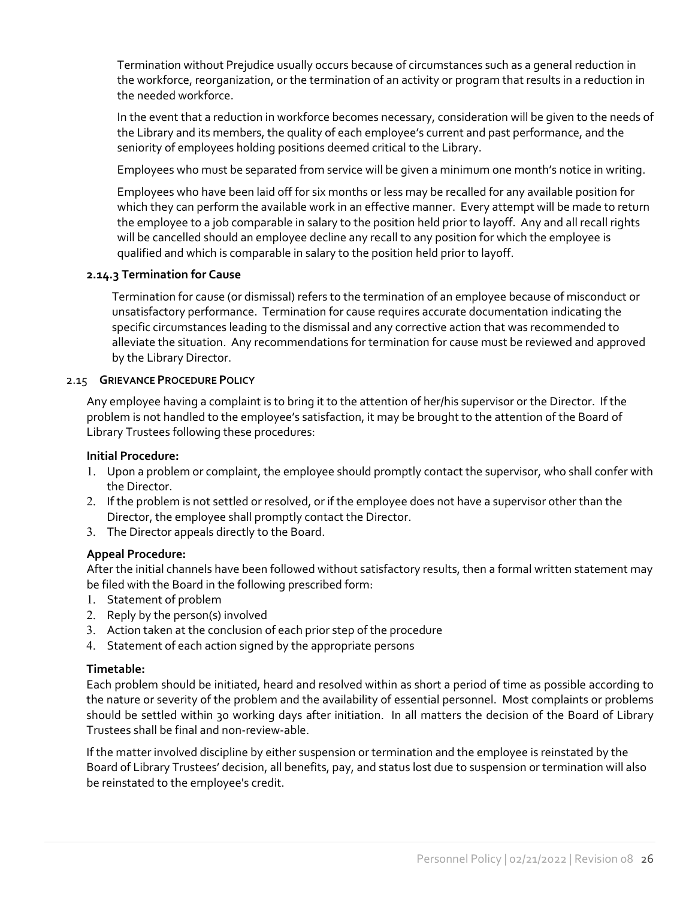Termination without Prejudice usually occurs because of circumstances such as a general reduction in the workforce, reorganization, or the termination of an activity or program that results in a reduction in the needed workforce.

In the event that a reduction in workforce becomes necessary, consideration will be given to the needs of the Library and its members, the quality of each employee's current and past performance, and the seniority of employees holding positions deemed critical to the Library.

Employees who must be separated from service will be given a minimum one month's notice in writing.

Employees who have been laid off for six months or less may be recalled for any available position for which they can perform the available work in an effective manner. Every attempt will be made to return the employee to a job comparable in salary to the position held prior to layoff. Any and all recall rights will be cancelled should an employee decline any recall to any position for which the employee is qualified and which is comparable in salary to the position held prior to layoff.

#### **2.14.3 Termination for Cause**

<span id="page-25-0"></span>Termination for cause (or dismissal) refers to the termination of an employee because of misconduct or unsatisfactory performance. Termination for cause requires accurate documentation indicating the specific circumstances leading to the dismissal and any corrective action that was recommended to alleviate the situation. Any recommendations for termination for cause must be reviewed and approved by the Library Director.

#### <span id="page-25-1"></span>2.15 **GRIEVANCE PROCEDURE POLICY**

Any employee having a complaint is to bring it to the attention of her/his supervisor or the Director. If the problem is not handled to the employee's satisfaction, it may be brought to the attention of the Board of Library Trustees following these procedures:

#### **Initial Procedure:**

- 1. Upon a problem or complaint, the employee should promptly contact the supervisor, who shall confer with the Director.
- 2. If the problem is not settled or resolved, or if the employee does not have a supervisor other than the Director, the employee shall promptly contact the Director.
- 3. The Director appeals directly to the Board.

## **Appeal Procedure:**

After the initial channels have been followed without satisfactory results, then a formal written statement may be filed with the Board in the following prescribed form:

- 1. Statement of problem
- 2. Reply by the person(s) involved
- 3. Action taken at the conclusion of each prior step of the procedure
- 4. Statement of each action signed by the appropriate persons

#### **Timetable:**

Each problem should be initiated, heard and resolved within as short a period of time as possible according to the nature or severity of the problem and the availability of essential personnel. Most complaints or problems should be settled within 30 working days after initiation. In all matters the decision of the Board of Library Trustees shall be final and non-review-able.

If the matter involved discipline by either suspension or termination and the employee is reinstated by the Board of Library Trustees' decision, all benefits, pay, and status lost due to suspension or termination will also be reinstated to the employee's credit.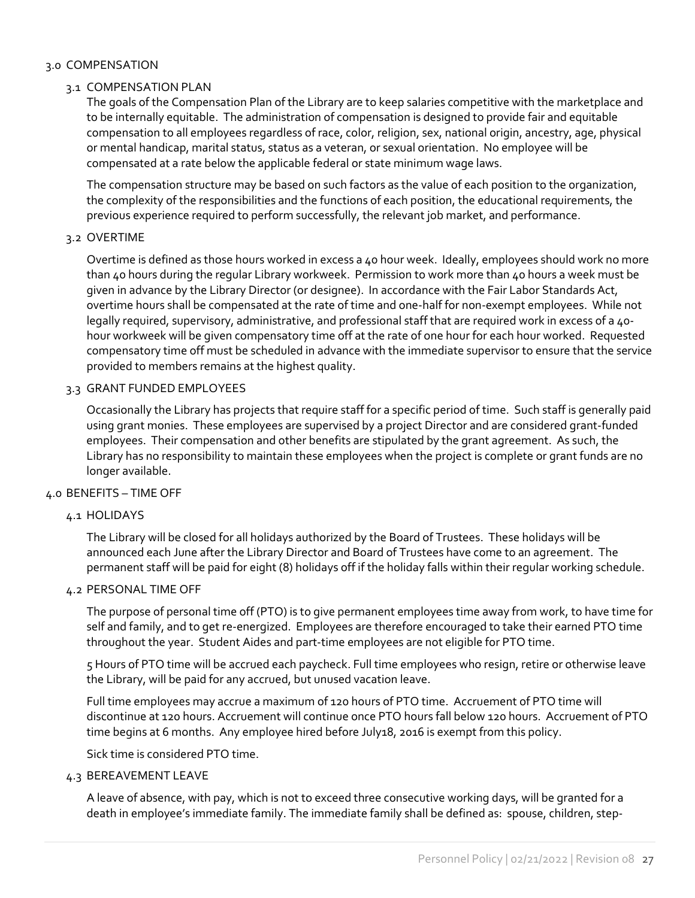#### <span id="page-26-1"></span><span id="page-26-0"></span>3.0 COMPENSATION

#### 3.1 COMPENSATION PLAN

The goals of the Compensation Plan of the Library are to keep salaries competitive with the marketplace and to be internally equitable. The administration of compensation is designed to provide fair and equitable compensation to all employees regardless of race, color, religion, sex, national origin, ancestry, age, physical or mental handicap, marital status, status as a veteran, or sexual orientation. No employee will be compensated at a rate below the applicable federal or state minimum wage laws.

The compensation structure may be based on such factors as the value of each position to the organization, the complexity of the responsibilities and the functions of each position, the educational requirements, the previous experience required to perform successfully, the relevant job market, and performance.

#### <span id="page-26-2"></span>3.2 OVERTIME

Overtime is defined as those hours worked in excess a 40 hour week. Ideally, employees should work no more than 40 hours during the regular Library workweek. Permission to work more than 40 hours a week must be given in advance by the Library Director (or designee). In accordance with the Fair Labor Standards Act, overtime hours shall be compensated at the rate of time and one-half for non-exempt employees. While not legally required, supervisory, administrative, and professional staff that are required work in excess of a 40 hour workweek will be given compensatory time off at the rate of one hour for each hour worked. Requested compensatory time off must be scheduled in advance with the immediate supervisor to ensure that the service provided to members remains at the highest quality.

#### <span id="page-26-3"></span>3.3 GRANT FUNDED EMPLOYEES

Occasionally the Library has projects that require staff for a specific period of time. Such staff is generally paid using grant monies. These employees are supervised by a project Director and are considered grant-funded employees. Their compensation and other benefits are stipulated by the grant agreement. As such, the Library has no responsibility to maintain these employees when the project is complete or grant funds are no longer available.

#### <span id="page-26-5"></span><span id="page-26-4"></span>4.0 BENEFITS – TIME OFF

## 4.1 HOLIDAYS

The Library will be closed for all holidays authorized by the Board of Trustees. These holidays will be announced each June after the Library Director and Board of Trustees have come to an agreement. The permanent staff will be paid for eight (8) holidays off if the holiday falls within their regular working schedule.

#### <span id="page-26-6"></span>4.2 PERSONAL TIME OFF

The purpose of personal time off (PTO) is to give permanent employees time away from work, to have time for self and family, and to get re-energized. Employees are therefore encouraged to take their earned PTO time throughout the year. Student Aides and part-time employees are not eligible for PTO time.

5 Hours of PTO time will be accrued each paycheck. Full time employees who resign, retire or otherwise leave the Library, will be paid for any accrued, but unused vacation leave.

Full time employees may accrue a maximum of 120 hours of PTO time. Accruement of PTO time will discontinue at 120 hours. Accruement will continue once PTO hours fall below 120 hours. Accruement of PTO time begins at 6 months. Any employee hired before July18, 2016 is exempt from this policy.

Sick time is considered PTO time.

#### <span id="page-26-7"></span>4.3 BEREAVEMENT LEAVE

A leave of absence, with pay, which is not to exceed three consecutive working days, will be granted for a death in employee's immediate family. The immediate family shall be defined as: spouse, children, step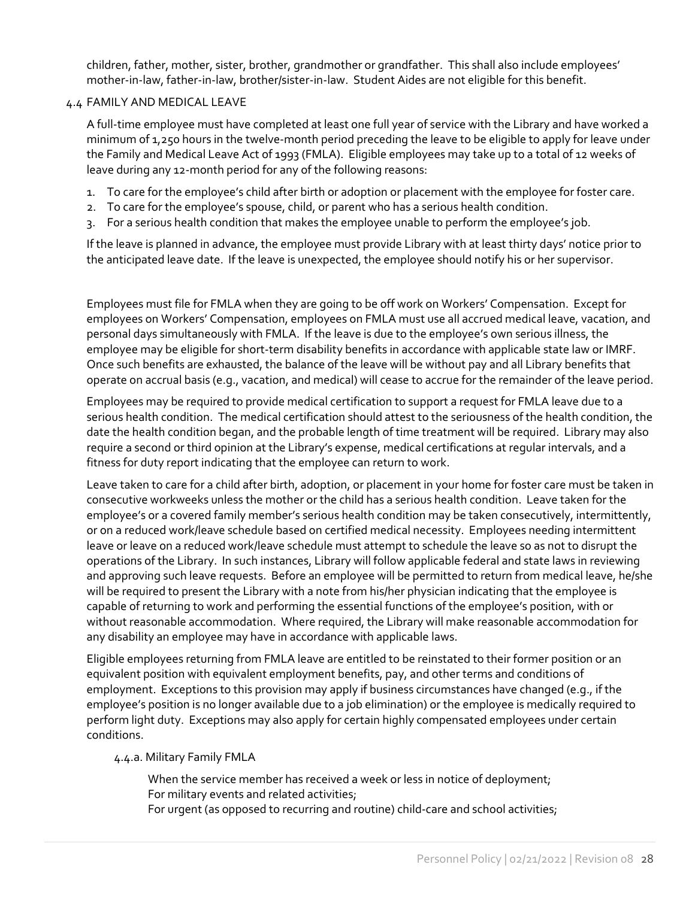children, father, mother, sister, brother, grandmother or grandfather. This shall also include employees' mother-in-law, father-in-law, brother/sister-in-law. Student Aides are not eligible for this benefit.

## <span id="page-27-0"></span>4.4 FAMILY AND MEDICAL LEAVE

A full-time employee must have completed at least one full year of service with the Library and have worked a minimum of 1,250 hours in the twelve-month period preceding the leave to be eligible to apply for leave under the Family and Medical Leave Act of 1993 (FMLA). Eligible employees may take up to a total of 12 weeks of leave during any 12-month period for any of the following reasons:

- 1. To care for the employee's child after birth or adoption or placement with the employee for foster care.
- 2. To care for the employee's spouse, child, or parent who has a serious health condition.
- 3. For a serious health condition that makes the employee unable to perform the employee's job.

If the leave is planned in advance, the employee must provide Library with at least thirty days' notice prior to the anticipated leave date. If the leave is unexpected, the employee should notify his or her supervisor.

Employees must file for FMLA when they are going to be off work on Workers' Compensation. Except for employees on Workers' Compensation, employees on FMLA must use all accrued medical leave, vacation, and personal days simultaneously with FMLA. If the leave is due to the employee's own serious illness, the employee may be eligible for short-term disability benefits in accordance with applicable state law or IMRF. Once such benefits are exhausted, the balance of the leave will be without pay and all Library benefits that operate on accrual basis (e.g., vacation, and medical) will cease to accrue for the remainder of the leave period.

Employees may be required to provide medical certification to support a request for FMLA leave due to a serious health condition. The medical certification should attest to the seriousness of the health condition, the date the health condition began, and the probable length of time treatment will be required. Library may also require a second or third opinion at the Library's expense, medical certifications at regular intervals, and a fitness for duty report indicating that the employee can return to work.

Leave taken to care for a child after birth, adoption, or placement in your home for foster care must be taken in consecutive workweeks unless the mother or the child has a serious health condition. Leave taken for the employee's or a covered family member's serious health condition may be taken consecutively, intermittently, or on a reduced work/leave schedule based on certified medical necessity. Employees needing intermittent leave or leave on a reduced work/leave schedule must attempt to schedule the leave so as not to disrupt the operations of the Library. In such instances, Library will follow applicable federal and state laws in reviewing and approving such leave requests. Before an employee will be permitted to return from medical leave, he/she will be required to present the Library with a note from his/her physician indicating that the employee is capable of returning to work and performing the essential functions of the employee's position, with or without reasonable accommodation. Where required, the Library will make reasonable accommodation for any disability an employee may have in accordance with applicable laws.

Eligible employees returning from FMLA leave are entitled to be reinstated to their former position or an equivalent position with equivalent employment benefits, pay, and other terms and conditions of employment. Exceptions to this provision may apply if business circumstances have changed (e.g., if the employee's position is no longer available due to a job elimination) or the employee is medically required to perform light duty. Exceptions may also apply for certain highly compensated employees under certain conditions.

## 4.4.a. Military Family FMLA

<span id="page-27-1"></span>When the service member has received a week or less in notice of deployment; For military events and related activities; For urgent (as opposed to recurring and routine) child-care and school activities;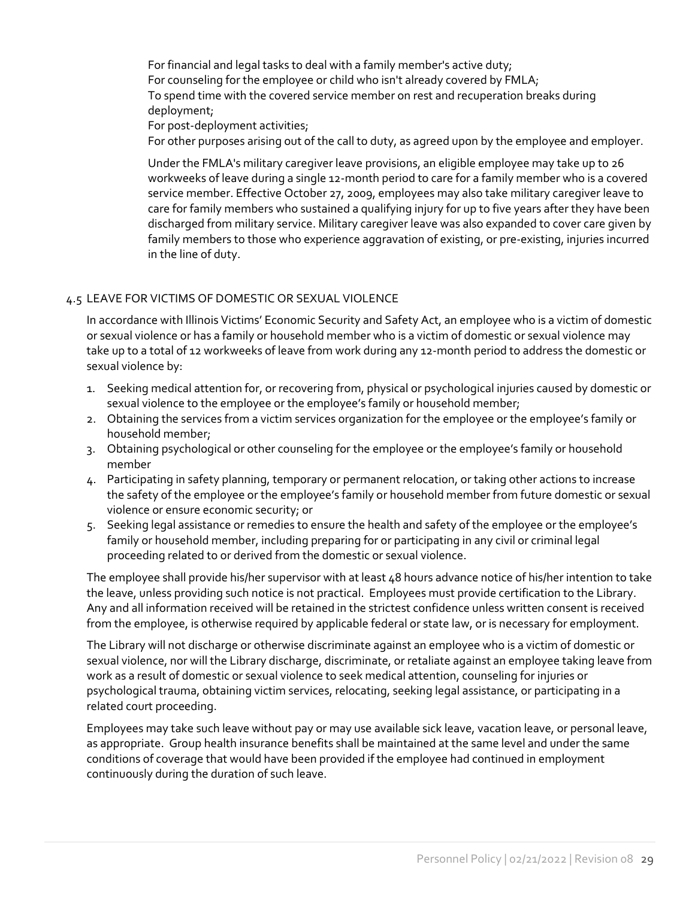For financial and legal tasks to deal with a family member's active duty; For counseling for the employee or child who isn't already covered by FMLA; To spend time with the covered service member on rest and recuperation breaks during deployment;

For post-deployment activities;

For other purposes arising out of the call to duty, as agreed upon by the employee and employer.

Under the FMLA's military caregiver leave provisions, an eligible employee may take up to 26 workweeks of leave during a single 12-month period to care for a family member who is a covered service member. Effective October 27, 2009, employees may also take military caregiver leave to care for family members who sustained a qualifying injury for up to five years after they have been discharged from military service. Military caregiver leave was also expanded to cover care given by family members to those who experience aggravation of existing, or pre-existing, injuries incurred in the line of duty.

#### <span id="page-28-0"></span>4.5 LEAVE FOR VICTIMS OF DOMESTIC OR SEXUAL VIOLENCE

In accordance with Illinois Victims' Economic Security and Safety Act, an employee who is a victim of domestic or sexual violence or has a family or household member who is a victim of domestic or sexual violence may take up to a total of 12 workweeks of leave from work during any 12-month period to address the domestic or sexual violence by:

- 1. Seeking medical attention for, or recovering from, physical or psychological injuries caused by domestic or sexual violence to the employee or the employee's family or household member;
- 2. Obtaining the services from a victim services organization for the employee or the employee's family or household member;
- 3. Obtaining psychological or other counseling for the employee or the employee's family or household member
- 4. Participating in safety planning, temporary or permanent relocation, or taking other actions to increase the safety of the employee or the employee's family or household member from future domestic or sexual violence or ensure economic security; or
- 5. Seeking legal assistance or remedies to ensure the health and safety of the employee or the employee's family or household member, including preparing for or participating in any civil or criminal legal proceeding related to or derived from the domestic or sexual violence.

The employee shall provide his/her supervisor with at least 48 hours advance notice of his/her intention to take the leave, unless providing such notice is not practical. Employees must provide certification to the Library. Any and all information received will be retained in the strictest confidence unless written consent is received from the employee, is otherwise required by applicable federal or state law, or is necessary for employment.

The Library will not discharge or otherwise discriminate against an employee who is a victim of domestic or sexual violence, nor will the Library discharge, discriminate, or retaliate against an employee taking leave from work as a result of domestic or sexual violence to seek medical attention, counseling for injuries or psychological trauma, obtaining victim services, relocating, seeking legal assistance, or participating in a related court proceeding.

<span id="page-28-1"></span>Employees may take such leave without pay or may use available sick leave, vacation leave, or personal leave, as appropriate. Group health insurance benefits shall be maintained at the same level and under the same conditions of coverage that would have been provided if the employee had continued in employment continuously during the duration of such leave.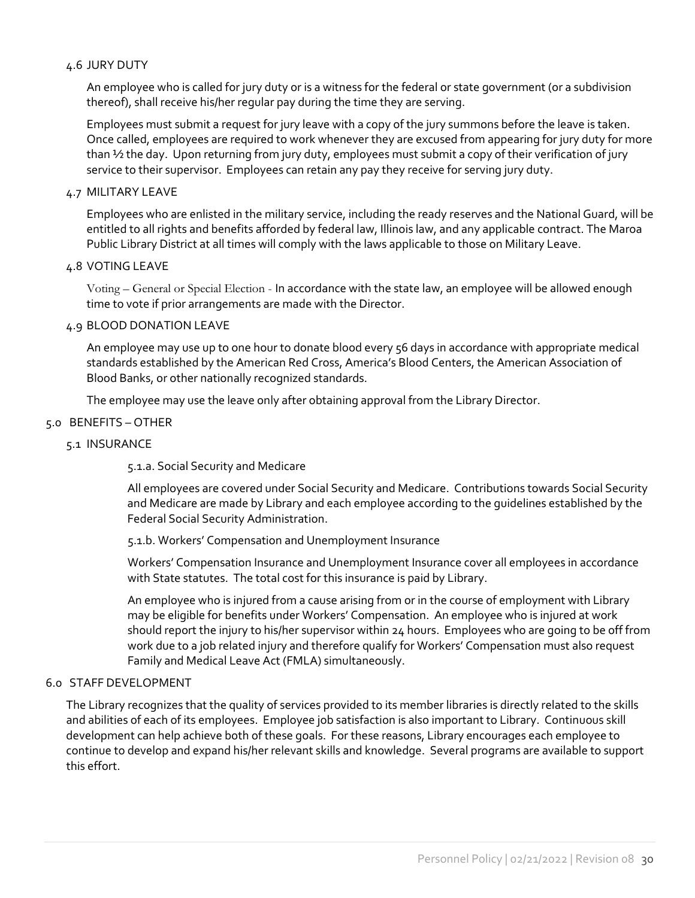#### 4.6 JURY DUTY

An employee who is called for jury duty or is a witness for the federal or state government (or a subdivision thereof), shall receive his/her regular pay during the time they are serving.

Employees must submit a request for jury leave with a copy of the jury summons before the leave is taken. Once called, employees are required to work whenever they are excused from appearing for jury duty for more than ½ the day. Upon returning from jury duty, employees must submit a copy of their verification of jury service to their supervisor. Employees can retain any pay they receive for serving jury duty.

#### <span id="page-29-0"></span>4.7 MILITARY LEAVE

Employees who are enlisted in the military service, including the ready reserves and the National Guard, will be entitled to all rights and benefits afforded by federal law, Illinois law, and any applicable contract. The Maroa Public Library District at all times will comply with the laws applicable to those on Military Leave.

#### <span id="page-29-1"></span>4.8 VOTING LEAVE

Voting – General or Special Election - In accordance with the state law, an employee will be allowed enough time to vote if prior arrangements are made with the Director.

#### <span id="page-29-2"></span>4.9 BLOOD DONATION LEAVE

An employee may use up to one hour to donate blood every 56 days in accordance with appropriate medical standards established by the American Red Cross, America's Blood Centers, the American Association of Blood Banks, or other nationally recognized standards.

The employee may use the leave only after obtaining approval from the Library Director.

#### <span id="page-29-3"></span>5.0 BENEFITS – OTHER

#### 5.1 INSURANCE

<span id="page-29-4"></span>5.1.a. Social Security and Medicare

All employees are covered under Social Security and Medicare. Contributions towards Social Security and Medicare are made by Library and each employee according to the guidelines established by the Federal Social Security Administration.

#### <span id="page-29-5"></span>5.1.b. Workers' Compensation and Unemployment Insurance

Workers' Compensation Insurance and Unemployment Insurance cover all employees in accordance with State statutes. The total cost for this insurance is paid by Library.

An employee who is injured from a cause arising from or in the course of employment with Library may be eligible for benefits under Workers' Compensation. An employee who is injured at work should report the injury to his/her supervisor within 24 hours. Employees who are going to be off from work due to a job related injury and therefore qualify for Workers' Compensation must also request Family and Medical Leave Act (FMLA) simultaneously.

#### <span id="page-29-6"></span>6.0 STAFF DEVELOPMENT

<span id="page-29-7"></span>The Library recognizes that the quality of services provided to its member libraries is directly related to the skills and abilities of each of its employees. Employee job satisfaction is also important to Library. Continuous skill development can help achieve both of these goals. For these reasons, Library encourages each employee to continue to develop and expand his/her relevant skills and knowledge. Several programs are available to support this effort.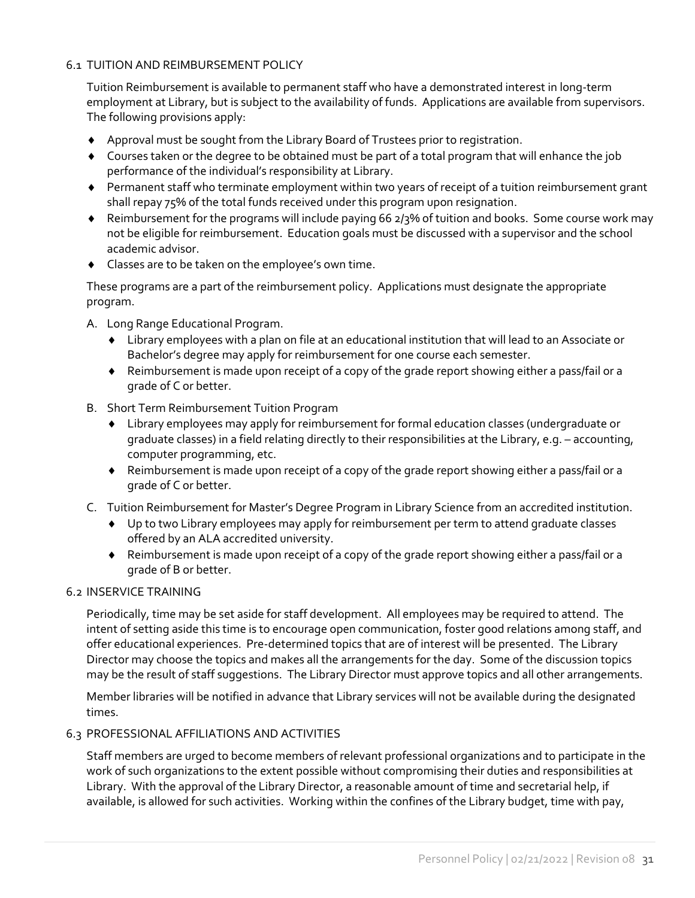## 6.1 TUITION AND REIMBURSEMENT POLICY

Tuition Reimbursement is available to permanent staff who have a demonstrated interest in long-term employment at Library, but is subject to the availability of funds. Applications are available from supervisors. The following provisions apply:

- ♦ Approval must be sought from the Library Board of Trustees prior to registration.
- ♦ Courses taken or the degree to be obtained must be part of a total program that will enhance the job performance of the individual's responsibility at Library.
- ♦ Permanent staff who terminate employment within two years of receipt of a tuition reimbursement grant shall repay 75% of the total funds received under this program upon resignation.
- ♦ Reimbursement for the programs will include paying 66 2/3% of tuition and books. Some course work may not be eligible for reimbursement. Education goals must be discussed with a supervisor and the school academic advisor.
- ♦ Classes are to be taken on the employee's own time.

These programs are a part of the reimbursement policy. Applications must designate the appropriate program.

- A. Long Range Educational Program.
	- ♦ Library employees with a plan on file at an educational institution that will lead to an Associate or Bachelor's degree may apply for reimbursement for one course each semester.
	- ♦ Reimbursement is made upon receipt of a copy of the grade report showing either a pass/fail or a grade of C or better.
- B. Short Term Reimbursement Tuition Program
	- ♦ Library employees may apply for reimbursement for formal education classes (undergraduate or graduate classes) in a field relating directly to their responsibilities at the Library, e.g. – accounting, computer programming, etc.
	- ♦ Reimbursement is made upon receipt of a copy of the grade report showing either a pass/fail or a grade of C or better.
- C. Tuition Reimbursement for Master's Degree Program in Library Science from an accredited institution.
	- ♦ Up to two Library employees may apply for reimbursement per term to attend graduate classes offered by an ALA accredited university.
	- ♦ Reimbursement is made upon receipt of a copy of the grade report showing either a pass/fail or a grade of B or better.

#### <span id="page-30-0"></span>6.2 INSERVICE TRAINING

Periodically, time may be set aside for staff development. All employees may be required to attend. The intent of setting aside this time is to encourage open communication, foster good relations among staff, and offer educational experiences. Pre-determined topics that are of interest will be presented. The Library Director may choose the topics and makes all the arrangements for the day. Some of the discussion topics may be the result of staff suggestions. The Library Director must approve topics and all other arrangements.

Member libraries will be notified in advance that Library services will not be available during the designated times.

## <span id="page-30-1"></span>6.3 PROFESSIONAL AFFILIATIONS AND ACTIVITIES

Staff members are urged to become members of relevant professional organizations and to participate in the work of such organizations to the extent possible without compromising their duties and responsibilities at Library. With the approval of the Library Director, a reasonable amount of time and secretarial help, if available, is allowed for such activities. Working within the confines of the Library budget, time with pay,